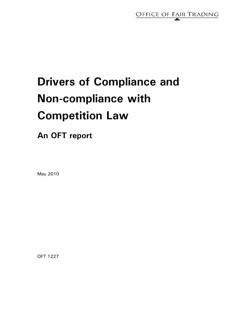

# **Drivers of Compliance and Non-compliance with Competition Law**

# **An OFT report**

May 2010

OFT 1227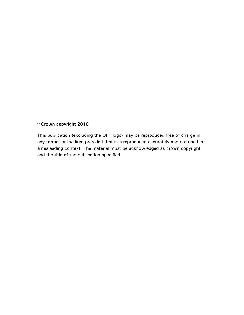# **© Crown copyright 2010**

This publication (excluding the OFT logo) may be reproduced free of charge in any format or medium provided that it is reproduced accurately and not used in a misleading context. The material must be acknowledged as crown copyright and the title of the publication specified.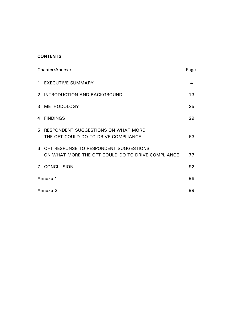# **CONTENTS**

| Chapter/Annexe |                                                                                             | Page |
|----------------|---------------------------------------------------------------------------------------------|------|
| $\mathbf{1}$   | <b>EXECUTIVE SUMMARY</b>                                                                    | 4    |
| $\mathcal{P}$  | INTRODUCTION AND BACKGROUND                                                                 | 13   |
| 3              | <b>METHODOLOGY</b>                                                                          | 25   |
| 4              | <b>FINDINGS</b>                                                                             | 29   |
| 5.             | RESPONDENT SUGGESTIONS ON WHAT MORE<br>THE OFT COULD DO TO DRIVE COMPLIANCE                 | 63   |
| 6.             | OFT RESPONSE TO RESPONDENT SUGGESTIONS<br>ON WHAT MORE THE OFT COULD DO TO DRIVE COMPLIANCE | 77   |
| 7 <sup>7</sup> | <b>CONCLUSION</b>                                                                           | 92   |
| Annexe 1       |                                                                                             | 96   |
| Annexe 2       |                                                                                             | 99   |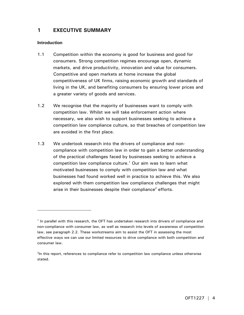# **1 EXECUTIVE SUMMARY**

# **Introduction**

- 1.1 Competition within the economy is good for business and good for consumers. Strong competition regimes encourage open, dynamic markets, and drive productivity, innovation and value for consumers. Competitive and open markets at home increase the global competitiveness of UK firms, raising economic growth and standards of living in the UK, and benefiting consumers by ensuring lower prices and a greater variety of goods and services.
- 1.2 We recognise that the majority of businesses want to comply with competition law. Whilst we will take enforcement action where necessary, we also wish to support businesses seeking to achieve a competition law compliance culture, so that breaches of competition law are avoided in the first place.
- 1.3 We undertook research into the drivers of compliance and noncompliance with competition law in order to gain a better understanding of the practical challenges faced by businesses seeking to achieve a competition law compliance culture.<sup>1</sup> Our aim was to learn what motivated businesses to comply with competition law and what businesses had found worked well in practice to achieve this. We also explored with them competition law compliance challenges that might arise in their businesses despite their compliance<sup>2</sup> efforts.

<sup>&</sup>lt;sup>1</sup> In parallel with this research, the OFT has undertaken research into drivers of compliance and non-compliance with consumer law, as well as research into levels of awareness of competition law, see paragraph 2.2. These workstreams aim to assist the OFT in assessing the most effective ways we can use our limited resources to drive compliance with both competition and consumer law.

<sup>&</sup>lt;sup>2</sup>In this report, references to compliance refer to competition law compliance unless otherwise stated.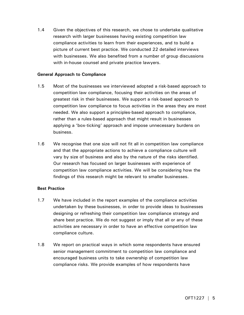1.4 Given the objectives of this research, we chose to undertake qualitative research with larger businesses having existing competition law compliance activities to learn from their experiences, and to build a picture of current best practice. We conducted 22 detailed interviews with businesses. We also benefited from a number of group discussions with in-house counsel and private practice lawyers.

# **General Approach to Compliance**

- 1.5 Most of the businesses we interviewed adopted a risk-based approach to competition law compliance, focusing their activities on the areas of greatest risk in their businesses. We support a risk-based approach to competition law compliance to focus activities in the areas they are most needed. We also support a principles-based approach to compliance, rather than a rules-based approach that might result in businesses applying a 'box-ticking' approach and impose unnecessary burdens on business.
- 1.6 We recognise that one size will not fit all in competition law compliance and that the appropriate actions to achieve a compliance culture will vary by size of business and also by the nature of the risks identified. Our research has focused on larger businesses with experience of competition law compliance activities. We will be considering how the findings of this research might be relevant to smaller businesses.

# **Best Practice**

- 1.7 We have included in the report examples of the compliance activities undertaken by these businesses, in order to provide ideas to businesses designing or refreshing their competition law compliance strategy and share best practice. We do not suggest or imply that all or any of these activities are necessary in order to have an effective competition law compliance culture.
- 1.8 We report on practical ways in which some respondents have ensured senior management commitment to competition law compliance and encouraged business units to take ownership of competition law compliance risks. We provide examples of how respondents have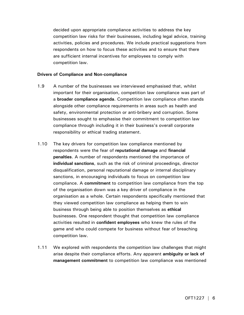decided upon appropriate compliance activities to address the key competition law risks for their businesses, including legal advice, training activities, policies and procedures. We include practical suggestions from respondents on how to focus these activities and to ensure that there are sufficient internal incentives for employees to comply with competition law.

#### **Drivers of Compliance and Non-compliance**

- 1.9 A number of the businesses we interviewed emphasised that, whilst important for their organisation, competition law compliance was part of a **broader compliance agenda**. Competition law compliance often stands alongside other compliance requirements in areas such as health and safety, environmental protection or anti-bribery and corruption. Some businesses sought to emphasise their commitment to competition law compliance through including it in their business's overall corporate responsibility or ethical trading statement.
- 1.10 The key drivers for competition law compliance mentioned by respondents were the fear of **reputational damage** and **financial penalties**. A number of respondents mentioned the importance of **individual sanctions**, such as the risk of criminal proceedings, director disqualification, personal reputational damage or internal disciplinary sanctions, in encouraging individuals to focus on competition law compliance. A **commitment** to competition law compliance from the top of the organisation down was a key driver of compliance in the organisation as a whole. Certain respondents specifically mentioned that they viewed competition law compliance as helping them to win business through being able to position themselves as **ethical** businesses. One respondent thought that competition law compliance activities resulted in **confident employees** who knew the rules of the game and who could compete for business without fear of breaching competition law.
- 1.11 We explored with respondents the competition law challenges that might arise despite their compliance efforts. Any apparent **ambiguity or lack of management commitment** to competition law compliance was mentioned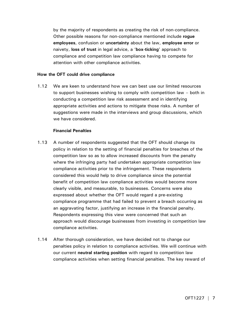by the majority of respondents as creating the risk of non-compliance. Other possible reasons for non-compliance mentioned include **rogue employees**, confusion or **uncertainty** about the law, **employee error** or naivety, **loss of trust** in legal advice, a '**box-ticking**' approach to compliance and competition law compliance having to compete for attention with other compliance activities.

#### **How the OFT could drive compliance**

1.12 We are keen to understand how we can best use our limited resources to support businesses wishing to comply with competition law – both in conducting a competition law risk assessment and in identifying appropriate activities and actions to mitigate those risks. A number of suggestions were made in the interviews and group discussions, which we have considered.

#### **Financial Penalties**

- 1.13 A number of respondents suggested that the OFT should change its policy in relation to the setting of financial penalties for breaches of the competition law so as to allow increased discounts from the penalty where the infringing party had undertaken appropriate competition law compliance activities prior to the infringement. These respondents considered this would help to drive compliance since the potential benefit of competition law compliance activities would become more clearly visible, and measurable, to businesses. Concerns were also expressed about whether the OFT would regard a pre-existing compliance programme that had failed to prevent a breach occurring as an aggravating factor, justifying an increase in the financial penalty. Respondents expressing this view were concerned that such an approach would discourage businesses from investing in competition law compliance activities.
- 1.14 After thorough consideration, we have decided not to change our penalties policy in relation to compliance activities. We will continue with our current **neutral starting position** with regard to competition law compliance activities when setting financial penalties. The key reward of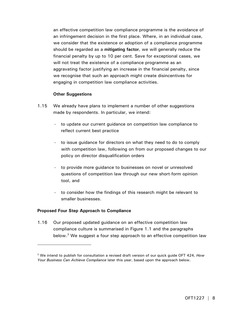an effective competition law compliance programme is the avoidance of an infringement decision in the first place. Where, in an individual case, we consider that the existence or adoption of a compliance programme should be regarded as a **mitigating factor**, we will generally reduce the financial penalty by up to 10 per cent. Save for exceptional cases, we will not treat the existence of a compliance programme as an aggravating factor justifying an increase in the financial penalty, since we recognise that such an approach might create disincentives for engaging in competition law compliance activities.

# **Other Suggestions**

- 1.15 We already have plans to implement a number of other suggestions made by respondents. In particular, we intend:
	- to update our current guidance on competition law compliance to reflect current best practice
	- to issue guidance for directors on what they need to do to comply with competition law, following on from our proposed changes to our policy on director disqualification orders
	- to provide more quidance to businesses on novel or unresolved questions of competition law through our new short-form opinion tool, and
	- to consider how the findings of this research might be relevant to smaller businesses.

# **Proposed Four Step Approach to Compliance**

-

1.16 Our proposed updated guidance on an effective competition law compliance culture is summarised in Figure 1.1 and the paragraphs below.<sup>3</sup> We suggest a four step approach to an effective competition law

<sup>3</sup> We intend to publish for consultation a revised draft version of our quick guide OFT 424, *How Your Business Can Achieve Compliance* later this year, based upon the approach below.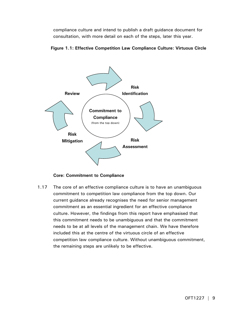compliance culture and intend to publish a draft guidance document for consultation, with more detail on each of the steps, later this year.





**Core: Commitment to Compliance** 

1.17 The core of an effective compliance culture is to have an unambiguous commitment to competition law compliance from the top down. Our current guidance already recognises the need for senior management commitment as an essential ingredient for an effective compliance culture. However, the findings from this report have emphasised that this commitment needs to be unambiguous and that the commitment needs to be at all levels of the management chain. We have therefore included this at the centre of the virtuous circle of an effective competition law compliance culture. Without unambiguous commitment, the remaining steps are unlikely to be effective.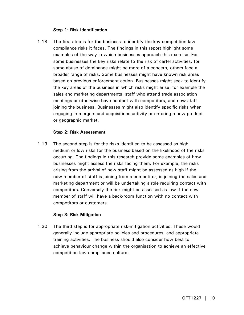# **Step 1: Risk Identification**

1.18 The first step is for the business to identify the key competition law compliance risks it faces. The findings in this report highlight some examples of the way in which businesses approach this exercise. For some businesses the key risks relate to the risk of cartel activities, for some abuse of dominance might be more of a concern, others face a broader range of risks. Some businesses might have known risk areas based on previous enforcement action. Businesses might seek to identify the key areas of the business in which risks might arise, for example the sales and marketing departments, staff who attend trade association meetings or otherwise have contact with competitors, and new staff joining the business. Businesses might also identify specific risks when engaging in mergers and acquisitions activity or entering a new product or geographic market.

# **Step 2: Risk Assessment**

1.19 The second step is for the risks identified to be assessed as high, medium or low risks for the business based on the likelihood of the risks occurring. The findings in this research provide some examples of how businesses might assess the risks facing them. For example, the risks arising from the arrival of new staff might be assessed as high if the new member of staff is joining from a competitor, is joining the sales and marketing department or will be undertaking a role requiring contact with competitors. Conversely the risk might be assessed as low if the new member of staff will have a back-room function with no contact with competitors or customers.

# **Step 3: Risk Mitigation**

1.20 The third step is for appropriate risk-mitigation activities. These would generally include appropriate policies and procedures, and appropriate training activities. The business should also consider how best to achieve behaviour change within the organisation to achieve an effective competition law compliance culture.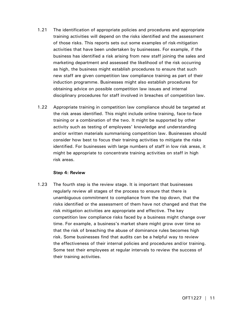- 1.21 The identification of appropriate policies and procedures and appropriate training activities will depend on the risks identified and the assessment of those risks. This reports sets out some examples of risk-mitigation activities that have been undertaken by businesses. For example, if the business has identified a risk arising from new staff joining the sales and marketing department and assessed the likelihood of the risk occurring as high, the business might establish procedures to ensure that such new staff are given competition law compliance training as part of their induction programme. Businesses might also establish procedures for obtaining advice on possible competition law issues and internal disciplinary procedures for staff involved in breaches of competition law.
- 1.22 Appropriate training in competition law compliance should be targeted at the risk areas identified. This might include online training, face-to-face training or a combination of the two. It might be supported by other activity such as testing of employees' knowledge and understanding and/or written materials summarising competition law. Businesses should consider how best to focus their training activities to mitigate the risks identified. For businesses with large numbers of staff in low risk areas, it might be appropriate to concentrate training activities on staff in high risk areas.

# **Step 4: Review**

1.23 The fourth step is the review stage. It is important that businesses regularly review all stages of the process to ensure that there is unambiguous commitment to compliance from the top down, that the risks identified or the assessment of them have not changed and that the risk mitigation activities are appropriate and effective. The key competition law compliance risks faced by a business might change over time. For example, a business's market share might grow over time so that the risk of breaching the abuse of dominance rules becomes high risk. Some businesses find that audits can be a helpful way to review the effectiveness of their internal policies and procedures and/or training. Some test their employees at regular intervals to review the success of their training activities.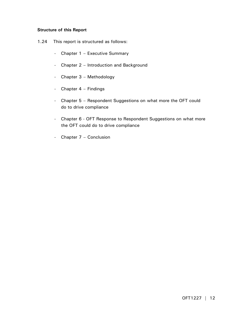# **Structure of this Report**

- 1.24 This report is structured as follows:
	- Chapter 1 Executive Summary
	- Chapter 2 Introduction and Background
	- Chapter 3 Methodology
	- Chapter 4 Findings
	- Chapter 5 Respondent Suggestions on what more the OFT could do to drive compliance
	- Chapter 6 OFT Response to Respondent Suggestions on what more the OFT could do to drive compliance
	- Chapter 7 Conclusion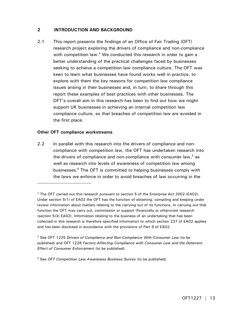# **2 INTRODUCTION AND BACKGROUND**

2.1 This report presents the findings of an Office of Fair Trading (OFT) research project exploring the drivers of compliance and non-compliance with competition law.<sup>4</sup> We conducted this research in order to gain a better understanding of the practical challenges faced by businesses seeking to achieve a competition law compliance culture. The OFT was keen to learn what businesses have found works well in practice, to explore with them the key reasons for competition law compliance issues arising in their businesses and, in turn, to share through this report these examples of best practices with other businesses. The OFT's overall aim in this research has been to find out how we might support UK businesses in achieving an internal competition law compliance culture, so that breaches of competition law are avoided in the first place.

# **Other OFT compliance workstreams**

-

2.2 In parallel with this research into the drivers of compliance and noncompliance with competition law, the OFT has undertaken research into the drivers of compliance and non-compliance with consumer law,<sup>5</sup> as well as research into levels of awareness of competition law among businesses.<sup>6</sup> The OFT is committed to helping businesses comply with the laws we enforce in order to avoid breaches of law occurring in the

5 See OFT 1225 *Drivers of Compliance and Non-Compliance With Consumer Law* (to be published) and OFT 1228 *Factors Affecting Compliance with Consumer Law and the Deterrent Effect of Consumer Enforcement* (to be published).

6 See *OFT Competition Law Awareness Business Survey* (to be published).

<sup>4</sup> The OFT carried out this research pursuant to section 5 of the Enterprise Act 2002 (EA02). Under section 5(1) of EA02 the OFT has the function of obtaining, compiling and keeping under review information about matters relating to the carrying out of its functions. In carrying out that function the OFT may carry out, commission or support (financially or otherwise) research (section 5(3) EA02). Information relating to the business of an undertaking that has been collected in this research is therefore specified information to which section 237 of EA02 applies and has been disclosed in accordance with the provisions of Part 9 of EA02.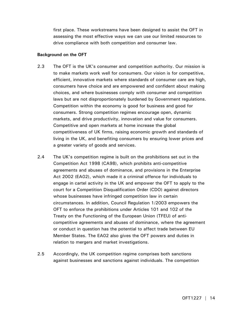first place. These workstreams have been designed to assist the OFT in assessing the most effective ways we can use our limited resources to drive compliance with both competition and consumer law.

# **Background on the OFT**

- 2.3 The OFT is the UK's consumer and competition authority. Our mission is to make markets work well for consumers. Our vision is for competitive, efficient, innovative markets where standards of consumer care are high, consumers have choice and are empowered and confident about making choices, and where businesses comply with consumer and competition laws but are not disproportionately burdened by Government regulations. Competition within the economy is good for business and good for consumers. Strong competition regimes encourage open, dynamic markets, and drive productivity, innovation and value for consumers. Competitive and open markets at home increase the global competitiveness of UK firms, raising economic growth and standards of living in the UK, and benefiting consumers by ensuring lower prices and a greater variety of goods and services.
- 2.4 The UK's competition regime is built on the prohibitions set out in the Competition Act 1998 (CA98), which prohibits anti-competitive agreements and abuses of dominance, and provisions in the Enterprise Act 2002 (EA02), which made it a criminal offence for individuals to engage in cartel activity in the UK and empower the OFT to apply to the court for a Competition Disqualification Order (CDO) against directors whose businesses have infringed competition law in certain circumstances. In addition, Council Regulation 1/2003 empowers the OFT to enforce the prohibitions under Articles 101 and 102 of the Treaty on the Functioning of the European Union (TFEU) of anticompetitive agreements and abuses of dominance, where the agreement or conduct in question has the potential to affect trade between EU Member States. The EA02 also gives the OFT powers and duties in relation to mergers and market investigations.
- 2.5 Accordingly, the UK competition regime comprises both sanctions against businesses and sanctions against individuals. The competition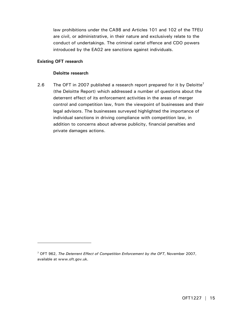law prohibitions under the CA98 and Articles 101 and 102 of the TFEU are civil, or administrative, in their nature and exclusively relate to the conduct of undertakings. The criminal cartel offence and CDO powers introduced by the EA02 are sanctions against individuals.

# **Existing OFT research**

-

# **Deloitte research**

2.6 The OFT in 2007 published a research report prepared for it by Deloitte<sup>7</sup> (the Deloitte Report) which addressed a number of questions about the deterrent effect of its enforcement activities in the areas of merger control and competition law, from the viewpoint of businesses and their legal advisors. The businesses surveyed highlighted the importance of individual sanctions in driving compliance with competition law, in addition to concerns about adverse publicity, financial penalties and private damages actions.

<sup>7</sup> OFT 962, *The Deterrent Effect of Competition Enforcement by the OFT*, November 2007, available at www.oft.gov.uk.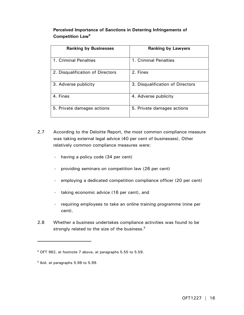# **Perceived Importance of Sanctions in Deterring Infringements of Competition Law8**

| <b>Ranking by Businesses</b>     | <b>Ranking by Lawyers</b>        |
|----------------------------------|----------------------------------|
| 1. Criminal Penalties            | 1. Criminal Penalties            |
| 2. Disqualification of Directors | 2. Fines                         |
| 3. Adverse publicity             | 3. Disqualification of Directors |
| 4. Fines                         | 4. Adverse publicity             |
| 5. Private damages actions       | 5. Private damages actions       |

- 2.7 According to the Deloitte Report, the most common compliance measure was taking external legal advice (40 per cent of businesses). Other relatively common compliance measures were:
	- having a policy code (34 per cent)
	- providing seminars on competition law (26 per cent)
	- employing a dedicated competition compliance officer (20 per cent)
	- taking economic advice (16 per cent), and
	- requiring employees to take an online training programme (nine per cent).
- 2.8 Whether a business undertakes compliance activities was found to be strongly related to the size of the business.<sup>9</sup>

<sup>&</sup>lt;sup>8</sup> OFT 962, at footnote 7 above, at paragraphs 5.55 to 5.59.

<sup>&</sup>lt;sup>9</sup> Ibid. at paragraphs 5.98 to 5.99.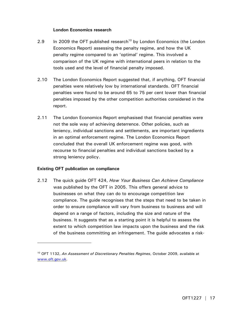# **London Economics research**

- 2.9 In 2009 the OFT published research<sup>10</sup> by London Economics (the London Economics Report) assessing the penalty regime, and how the UK penalty regime compared to an 'optimal' regime. This involved a comparison of the UK regime with international peers in relation to the tools used and the level of financial penalty imposed.
- 2.10 The London Economics Report suggested that, if anything, OFT financial penalties were relatively low by international standards. OFT financial penalties were found to be around 65 to 75 per cent lower than financial penalties imposed by the other competition authorities considered in the report.
- 2.11 The London Economics Report emphasised that financial penalties were not the sole way of achieving deterrence. Other policies, such as leniency, individual sanctions and settlements, are important ingredients in an optimal enforcement regime. The London Economics Report concluded that the overall UK enforcement regime was good, with recourse to financial penalties and individual sanctions backed by a strong leniency policy.

# **Existing OFT publication on compliance**

-

2.12 The quick guide OFT 424, *How Your Business Can Achieve Compliance*  was published by the OFT in 2005. This offers general advice to businesses on what they can do to encourage competition law compliance. The guide recognises that the steps that need to be taken in order to ensure compliance will vary from business to business and will depend on a range of factors, including the size and nature of the business. It suggests that as a starting point it is helpful to assess the extent to which competition law impacts upon the business and the risk of the business committing an infringement. The guide advocates a risk-

<sup>10</sup> OFT 1132, *An Assessment of Discretionary Penalties Regimes*, October 2009, available at www.oft.gov.uk.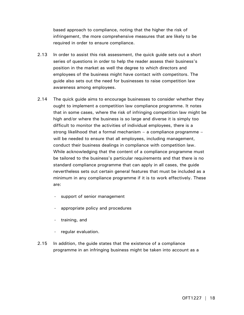based approach to compliance, noting that the higher the risk of infringement, the more comprehensive measures that are likely to be required in order to ensure compliance.

- 2.13 In order to assist this risk assessment, the quick guide sets out a short series of questions in order to help the reader assess their business's position in the market as well the degree to which directors and employees of the business might have contact with competitors. The guide also sets out the need for businesses to raise competition law awareness among employees.
- 2.14 The quick guide aims to encourage businesses to consider whether they ought to implement a competition law compliance programme. It notes that in some cases, where the risk of infringing competition law might be high and/or where the business is so large and diverse it is simply too difficult to monitor the activities of individual employees, there is a strong likelihood that a formal mechanism – a compliance programme – will be needed to ensure that all employees, including management, conduct their business dealings in compliance with competition law. While acknowledging that the content of a compliance programme must be tailored to the business's particular requirements and that there is no standard compliance programme that can apply in all cases, the guide nevertheless sets out certain general features that must be included as a minimum in any compliance programme if it is to work effectively. These are:
	- support of senior management
	- appropriate policy and procedures
	- training, and
	- regular evaluation.
- 2.15 In addition, the guide states that the existence of a compliance programme in an infringing business might be taken into account as a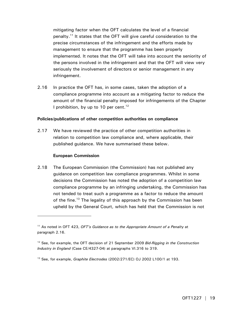mitigating factor when the OFT calculates the level of a financial penalty.11 It states that the OFT will give careful consideration to the precise circumstances of the infringement and the efforts made by management to ensure that the programme has been properly implemented. It notes that the OFT will take into account the seniority of the persons involved in the infringement and that the OFT will view very seriously the involvement of directors or senior management in any infringement.

2.16 In practice the OFT has, in some cases, taken the adoption of a compliance programme into account as a mitigating factor to reduce the amount of the financial penalty imposed for infringements of the Chapter I prohibition, by up to 10 per cent.<sup>12</sup>

# **Policies/publications of other competition authorities on compliance**

2.17 We have reviewed the practice of other competition authorities in relation to competition law compliance and, where applicable, their published guidance. We have summarised these below.

# **European Commission**

-

2.18 The European Commission (the Commission) has not published any guidance on competition law compliance programmes. Whilst in some decisions the Commission has noted the adoption of a competition law compliance programme by an infringing undertaking, the Commission has not tended to treat such a programme as a factor to reduce the amount of the fine.<sup>13</sup> The legality of this approach by the Commission has been upheld by the General Court, which has held that the Commission is not

<sup>11</sup> As noted in OFT 423, *OFT's Guidance as to the Appropriate Amount of a Penalty* at paragraph 2.16.

<sup>12</sup> See, for example, the OFT decision of 21 September 2009 *Bid-Rigging in the Construction Industry in England* (Case CE/4327-04) at paragraphs VI.316 to 319.

<sup>13</sup> See, for example, *Graphite Electrodes* (2002/271/EC) OJ 2002 L100/1 at 193.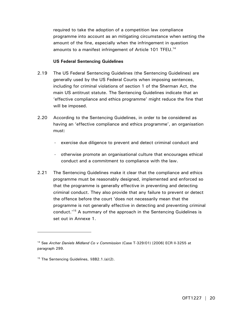required to take the adoption of a competition law compliance programme into account as an mitigating circumstance when setting the amount of the fine, especially when the infringement in question amounts to a manifest infringement of Article 101 TFEU.<sup>14</sup>

# **US Federal Sentencing Guidelines**

- 2.19 The US Federal Sentencing Guidelines (the Sentencing Guidelines) are generally used by the US Federal Courts when imposing sentences, including for criminal violations of section 1 of the Sherman Act, the main US antitrust statute. The Sentencing Guidelines indicate that an 'effective compliance and ethics programme' might reduce the fine that will be imposed.
- 2.20 According to the Sentencing Guidelines, in order to be considered as having an 'effective compliance and ethics programme', an organisation must:
	- exercise due diligence to prevent and detect criminal conduct and
	- otherwise promote an organisational culture that encourages ethical conduct and a commitment to compliance with the law.
- 2.21 The Sentencing Guidelines make it clear that the compliance and ethics programme must be reasonably designed, implemented and enforced so that the programme is generally effective in preventing and detecting criminal conduct. They also provide that any failure to prevent or detect the offence before the court 'does not necessarily mean that the programme is not generally effective in detecting and preventing criminal conduct.'15 A summary of the approach in the Sentencing Guidelines is set out in Annexe 1.

<sup>14</sup> See *Archer Daniels Midland Co v Commission* (Case T-329/01) [2006] ECR II-3255 at paragraph 299.

<sup>&</sup>lt;sup>15</sup> The Sentencing Guidelines, §8B2.1.(a)(2).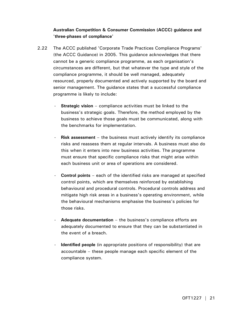# **Australian Competition & Consumer Commission (ACCC) guidance and 'three-phases of compliance'**

- 2.22 The ACCC published 'Corporate Trade Practices Compliance Programs' (the ACCC Guidance) in 2005. This guidance acknowledges that there cannot be a generic compliance programme, as each organisation's circumstances are different, but that whatever the type and style of the compliance programme, it should be well managed, adequately resourced, properly documented and actively supported by the board and senior management. The guidance states that a successful compliance programme is likely to include:
	- **Strategic vision** compliance activities must be linked to the business's strategic goals. Therefore, the method employed by the business to achieve those goals must be communicated, along with the benchmarks for implementation.
	- **Risk assessment** the business must actively identify its compliance risks and reassess them at regular intervals. A business must also do this when it enters into new business activities. The programme must ensure that specific compliance risks that might arise within each business unit or area of operations are considered.
	- **Control points** each of the identified risks are managed at specified control points, which are themselves reinforced by establishing behavioural and procedural controls. Procedural controls address and mitigate high risk areas in a business's operating environment, while the behavioural mechanisms emphasise the business's policies for those risks.
	- Adequate documentation the business's compliance efforts are adequately documented to ensure that they can be substantiated in the event of a breach.
	- **Identified people** (in appropriate positions of responsibility) that are accountable – these people manage each specific element of the compliance system.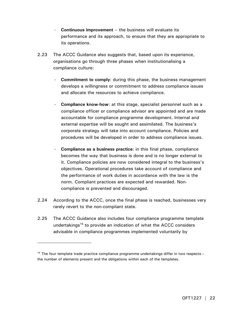- **Continuous improvement** the business will evaluate its performance and its approach, to ensure that they are appropriate to its operations.
- 2.23 The ACCC Guidance also suggests that, based upon its experience, organisations go through three phases when institutionalising a compliance culture:
	- **Commitment to comply:** during this phase, the business management develops a willingness or commitment to address compliance issues and allocate the resources to achieve compliance.
	- **Compliance know-how:** at this stage, specialist personnel such as a compliance officer or compliance advisor are appointed and are made accountable for compliance programme development. Internal and external expertise will be sought and assimilated. The business's corporate strategy will take into account compliance. Policies and procedures will be developed in order to address compliance issues.
	- **Compliance as a business practice:** in this final phase, compliance becomes the way that business is done and is no longer external to it. Compliance policies are now considered integral to the business's objectives. Operational procedures take account of compliance and the performance of work duties in accordance with the law is the norm. Compliant practices are expected and rewarded. Noncompliance is prevented and discouraged.
- 2.24 According to the ACCC, once the final phase is reached, businesses very rarely revert to the non-compliant state.
- 2.25 The ACCC Guidance also includes four compliance programme template undertakings<sup>16</sup> to provide an indication of what the ACCC considers advisable in compliance programmes implemented voluntarily by

 $16$  The four template trade practice compliance programme undertakings differ in two respectsthe number of elements present and the obligations within each of the templates.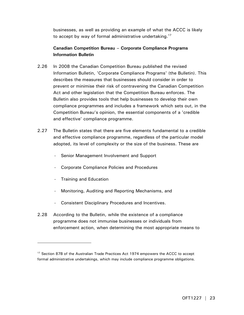businesses, as well as providing an example of what the ACCC is likely to accept by way of formal administrative undertaking.<sup>17</sup>

# **Canadian Competition Bureau – Corporate Compliance Programs Information Bulletin**

- 2.26 In 2008 the Canadian Competition Bureau published the revised Information Bulletin, 'Corporate Compliance Programs' (the Bulletin). This describes the measures that businesses should consider in order to prevent or minimise their risk of contravening the Canadian Competition Act and other legislation that the Competition Bureau enforces. The Bulletin also provides tools that help businesses to develop their own compliance programmes and includes a framework which sets out, in the Competition Bureau's opinion, the essential components of a 'credible and effective' compliance programme.
- 2.27 The Bulletin states that there are five elements fundamental to a credible and effective compliance programme, regardless of the particular model adopted, its level of complexity or the size of the business. These are
	- Senior Management Involvement and Support
	- Corporate Compliance Policies and Procedures
	- Training and Education

- Monitoring, Auditing and Reporting Mechanisms, and
- Consistent Disciplinary Procedures and Incentives.
- 2.28 According to the Bulletin, while the existence of a compliance programme does not immunise businesses or individuals from enforcement action, when determining the most appropriate means to

<sup>&</sup>lt;sup>17</sup> Section 87B of the Australian Trade Practices Act 1974 empowers the ACCC to accept formal administrative undertakings, which may include compliance programme obligations.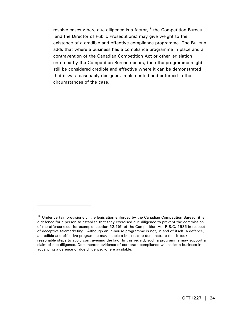resolve cases where due diligence is a factor,<sup>18</sup> the Competition Bureau (and the Director of Public Prosecutions) may give weight to the existence of a credible and effective compliance programme. The Bulletin adds that where a business has a compliance programme in place and a contravention of the Canadian Competition Act or other legislation enforced by the Competition Bureau occurs, then the programme might still be considered credible and effective where it can be demonstrated that it was reasonably designed, implemented and enforced in the circumstances of the case.

 $18$  Under certain provisions of the legislation enforced by the Canadian Competition Bureau, it is a defence for a person to establish that they exercised due diligence to prevent the commission of the offence (see, for example, section 52.1(6) of the Competition Act R.S.C. 1985 in respect of deceptive telemarketing). Although an in-house programme is not, in and of itself, a defence, a credible and effective programme may enable a business to demonstrate that it took reasonable steps to avoid contravening the law. In this regard, such a programme may support a claim of due diligence. Documented evidence of corporate compliance will assist a business in advancing a defence of due diligence, where available.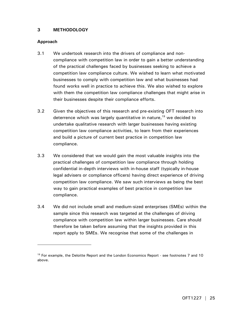# **3 METHODOLOGY**

# **Approach**

- 3.1 We undertook research into the drivers of compliance and noncompliance with competition law in order to gain a better understanding of the practical challenges faced by businesses seeking to achieve a competition law compliance culture. We wished to learn what motivated businesses to comply with competition law and what businesses had found works well in practice to achieve this. We also wished to explore with them the competition law compliance challenges that might arise in their businesses despite their compliance efforts.
- 3.2 Given the objectives of this research and pre-existing OFT research into deterrence which was largely quantitative in nature, $19$  we decided to undertake qualitative research with larger businesses having existing competition law compliance activities, to learn from their experiences and build a picture of current best practice in competition law compliance.
- 3.3 We considered that we would gain the most valuable insights into the practical challenges of competition law compliance through holding confidential in-depth interviews with in-house staff (typically in-house legal advisers or compliance officers) having direct experience of driving competition law compliance. We saw such interviews as being the best way to gain practical examples of best practice in competition law compliance.
- 3.4 We did not include small and medium-sized enterprises (SMEs) within the sample since this research was targeted at the challenges of driving compliance with competition law within larger businesses. Care should therefore be taken before assuming that the insights provided in this report apply to SMEs. We recognise that some of the challenges in

 $19$  For example, the Deloitte Report and the London Economics Report - see footnotes 7 and 10 above.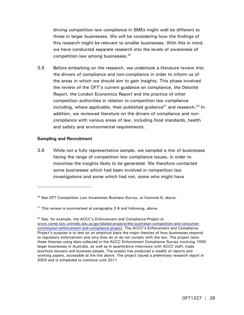driving competition law compliance in SMEs might well be different to those in larger businesses. We will be considering how the findings of this research might be relevant to smaller businesses. With this in mind, we have conducted separate research into the levels of awareness of competition law among businesses.<sup>20</sup>

3.5 Before embarking on the research, we undertook a literature review into the drivers of compliance and non-compliance in order to inform us of the areas in which we should aim to gain insights. This phase involved the review of the OFT's current guidance on compliance, the Deloitte Report, the London Economics Report and the practice of other competition authorities in relation to competition law compliance including, where applicable, their published quidance<sup>21</sup> and research.<sup>22</sup> In addition, we reviewed literature on the drivers of compliance and noncompliance with various areas of law, including food standards, health and safety and environmental requirements.

# **Sampling and Recruitment**

-

3.6 While not a fully representative sample, we sampled a mix of businesses facing the range of competition law compliance issues, in order to maximise the insights likely to be generated. We therefore contacted some businesses which had been involved in competition law investigations and some which had not, some who might have

 $20$  See OFT Competition Law Awareness Business Survey, at footnote 6, above.

 $21$  This review is summarised at paragraphs 2.6 and following, above.

<sup>&</sup>lt;sup>22</sup> See, for example, the ACCC's Enforcement and Compliance Project at www.cartel.law.unimelb.edu.au/go/related-projects/the-australian-competition-and-consumercommission-enforcement-and-compliance-project. The ACCC's Enforcement and Compliance Project's purpose is to test on an empirical basis the major theories of how businesses respond to regulatory enforcement and why they do or do not comply with the law. The project tests these theories using data collected in the ACCC Enforcement Compliance Survey involving 1000 larger businesses in Australia, as well as in quantitative interviews with ACCC staff, trade practices lawyers and business people. The project has produced a wealth of reports and working papers, accessible at the link above. The project issued a preliminary research report in 2003 and is scheduled to continue until 2011.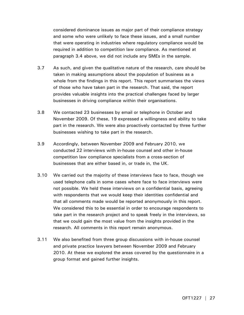considered dominance issues as major part of their compliance strategy and some who were unlikely to face these issues, and a small number that were operating in industries where regulatory compliance would be required in addition to competition law compliance. As mentioned at paragraph 3.4 above, we did not include any SMEs in the sample.

- 3.7 As such, and given the qualitative nature of the research, care should be taken in making assumptions about the population of business as a whole from the findings in this report. This report summarises the views of those who have taken part in the research. That said, the report provides valuable insights into the practical challenges faced by larger businesses in driving compliance within their organisations.
- 3.8 We contacted 23 businesses by email or telephone in October and November 2009. Of these, 19 expressed a willingness and ability to take part in the research. We were also proactively contacted by three further businesses wishing to take part in the research.
- 3.9 Accordingly, between November 2009 and February 2010, we conducted 22 interviews with in-house counsel and other in-house competition law compliance specialists from a cross-section of businesses that are either based in, or trade in, the UK.
- 3.10 We carried out the majority of these interviews face to face, though we used telephone calls in some cases where face to face interviews were not possible. We held these interviews on a confidential basis, agreeing with respondents that we would keep their identities confidential and that all comments made would be reported anonymously in this report. We considered this to be essential in order to encourage respondents to take part in the research project and to speak freely in the interviews, so that we could gain the most value from the insights provided in the research. All comments in this report remain anonymous.
- 3.11 We also benefited from three group discussions with in-house counsel and private practice lawyers between November 2009 and February 2010. At these we explored the areas covered by the questionnaire in a group format and gained further insights.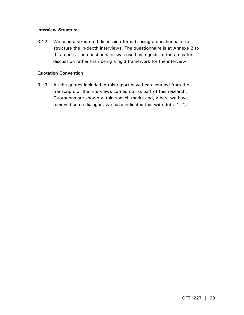# **Interview Structure**

3.12 We used a structured discussion format, using a questionnaire to structure the in-depth interviews. The questionnaire is at Annexe 2 to this report. The questionnaire was used as a guide to the areas for discussion rather than being a rigid framework for the interview.

# **Quotation Convention**

3.13 All the quotes included in this report have been sourced from the transcripts of the interviews carried out as part of this research. Quotations are shown within speech marks and, where we have removed some dialogue, we have indicated this with dots ('…').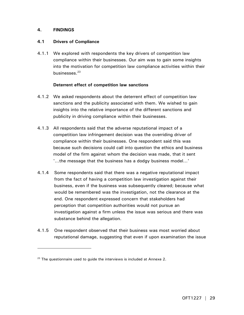# **4. FINDINGS**

-

# **4.1 Drivers of Compliance**

4.1.1 We explored with respondents the key drivers of competition law compliance within their businesses. Our aim was to gain some insights into the motivation for competition law compliance activities within their businesses.23

# **Deterrent effect of competition law sanctions**

- 4.1.2 We asked respondents about the deterrent effect of competition law sanctions and the publicity associated with them. We wished to gain insights into the relative importance of the different sanctions and publicity in driving compliance within their businesses.
- 4.1.3 All respondents said that the adverse reputational impact of a competition law infringement decision was the overriding driver of compliance within their businesses. One respondent said this was because such decisions could call into question the ethics and business model of the firm against whom the decision was made, that it sent '…the message that the business has a dodgy business model…'
- 4.1.4 Some respondents said that there was a negative reputational impact from the fact of having a competition law investigation against their business, even if the business was subsequently cleared; because what would be remembered was the investigation, not the clearance at the end. One respondent expressed concern that stakeholders had perception that competition authorities would not pursue an investigation against a firm unless the issue was serious and there was substance behind the allegation.
- 4.1.5 One respondent observed that their business was most worried about reputational damage, suggesting that even if upon examination the issue

 $23$  The questionnaire used to guide the interviews is included at Annexe 2.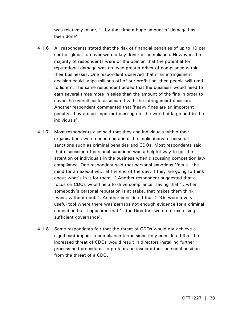was relatively minor, '…by that time a huge amount of damage has been done'.

- 4.1.6 All respondents stated that the risk of financial penalties of up to 10 per cent of global turnover were a key driver of compliance. However, the majority of respondents were of the opinion that the potential for reputational damage was an even greater driver of compliance within their businesses. One respondent observed that if an infringement decision could 'wipe millions off of our profit line, then people will tend to listen'. The same respondent added that the business would need to earn several times more in sales than the amount of the fine in order to cover the overall costs associated with the infringement decision. Another respondent commented that 'heavy fines are an important penalty; they are an important message to the world at large and to the individuals'.
- 4.1.7 Most respondents also said that they and individuals within their organisations were concerned about the implications of personal sanctions such as criminal penalties and CDOs. Most respondents said that discussion of personal sanctions was a helpful way to get the attention of individuals in the business when discussing competition law compliance. One respondent said that personal sanctions 'focus…the mind for an executive… at the end of the day, if they are going to think about what's in it for them…' Another respondent suggested that a focus on CDOs would help to drive compliance, saying that '…when somebody's personal reputation is at stake, that makes them think twice, without doubt'. Another considered that CDOs were a very useful tool where there was perhaps not enough evidence for a criminal conviction but it appeared that '…the Directors were not exercising sufficient governance'.
- 4.1.8 Some respondents felt that the threat of CDOs would not achieve a significant impact in compliance terms since they considered that the increased threat of CDOs would result in directors installing further process and procedures to protect and insulate their personal position from the threat of a CDO.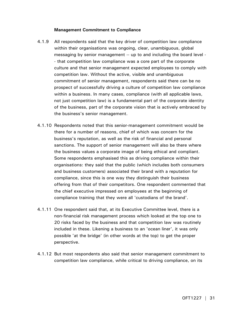# **Management Commitment to Compliance**

- 4.1.9 All respondents said that the key driver of competition law compliance within their organisations was ongoing, clear, unambiguous, global messaging by senior management -- up to and including the board level - - that competition law compliance was a core part of the corporate culture and that senior management expected employees to comply with competition law. Without the active, visible and unambiguous commitment of senior management, respondents said there can be no prospect of successfully driving a culture of competition law compliance within a business. In many cases, compliance (with all applicable laws, not just competition law) is a fundamental part of the corporate identity of the business, part of the corporate vision that is actively embraced by the business's senior management.
- 4.1.10 Respondents noted that this senior-management commitment would be there for a number of reasons, chief of which was concern for the business's reputation, as well as the risk of financial and personal sanctions. The support of senior management will also be there where the business values a corporate image of being ethical and compliant. Some respondents emphasised this as driving compliance within their organisations: they said that the public (which includes both consumers and business customers) associated their brand with a reputation for compliance, since this is one way they distinguish their business offering from that of their competitors. One respondent commented that the chief executive impressed on employees at the beginning of compliance training that they were all 'custodians of the brand'.
- 4.1.11 One respondent said that, at its Executive Committee level, there is a non-financial risk management process which looked at the top one to 20 risks faced by the business and that competition law was routinely included in these. Likening a business to an 'ocean liner', it was only possible 'at the bridge' (in other words at the top) to get the proper perspective.
- 4.1.12 But most respondents also said that senior management commitment to competition law compliance, while critical to driving compliance, on its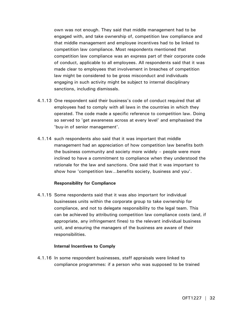own was not enough. They said that middle management had to be engaged with, and take ownership of, competition law compliance and that middle management and employee incentives had to be linked to competition law compliance. Most respondents mentioned that competition law compliance was an express part of their corporate code of conduct, applicable to all employees. All respondents said that it was made clear to employees that involvement in breaches of competition law might be considered to be gross misconduct and individuals engaging in such activity might be subject to internal disciplinary sanctions, including dismissals.

- 4.1.13 One respondent said their business's code of conduct required that all employees had to comply with all laws in the countries in which they operated. The code made a specific reference to competition law. Doing so served to 'get awareness across at every level' and emphasised the 'buy-in of senior management'.
- 4.1.14 such respondents also said that it was important that middle management had an appreciation of how competition law benefits both the business community and society more widely – people were more inclined to have a commitment to compliance when they understood the rationale for the law and sanctions. One said that it was important to show how 'competition law…benefits society, business and you'.

# **Responsibility for Compliance**

4.1.15 Some respondents said that it was also important for individual businesses units within the corporate group to take ownership for compliance, and not to delegate responsibility to the legal team. This can be achieved by attributing competition law compliance costs (and, if appropriate, any infringement fines) to the relevant individual business unit, and ensuring the managers of the business are aware of their responsibilities.

# **Internal Incentives to Comply**

4.1.16 In some respondent businesses, staff appraisals were linked to compliance programmes: if a person who was supposed to be trained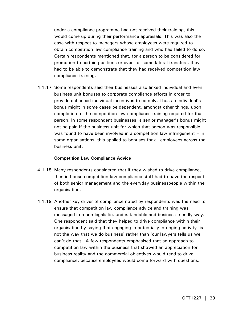under a compliance programme had not received their training, this would come up during their performance appraisals. This was also the case with respect to managers whose employees were required to obtain competition law compliance training and who had failed to do so. Certain respondents mentioned that, for a person to be considered for promotion to certain positions or even for some lateral transfers, they had to be able to demonstrate that they had received competition law compliance training.

4.1.17 Some respondents said their businesses also linked individual and even business unit bonuses to corporate compliance efforts in order to provide enhanced individual incentives to comply. Thus an individual's bonus might in some cases be dependent, amongst other things, upon completion of the competition law compliance training required for that person. In some respondent businesses, a senior manager's bonus might not be paid if the business unit for which that person was responsible was found to have been involved in a competition law infringement – in some organisations, this applied to bonuses for all employees across the business unit.

#### **Competition Law Compliance Advice**

- 4.1.18 Many respondents considered that if they wished to drive compliance, then in-house competition law compliance staff had to have the respect of both senior management and the everyday businesspeople within the organisation.
- 4.1.19 Another key driver of compliance noted by respondents was the need to ensure that competition law compliance advice and training was messaged in a non-legalistic, understandable and business-friendly way. One respondent said that they helped to drive compliance within their organisation by saying that engaging in potentially infringing activity 'is not the way that we do business' rather than 'our lawyers tells us we can't do that'. A few respondents emphasised that an approach to competition law within the business that showed an appreciation for business reality and the commercial objectives would tend to drive compliance, because employees would come forward with questions.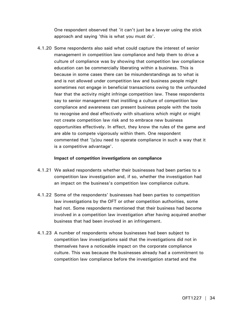One respondent observed that 'it can't just be a lawyer using the stick approach and saying 'this is what you must do'.

4.1.20 Some respondents also said what could capture the interest of senior management in competition law compliance and help them to drive a culture of compliance was by showing that competition law compliance education can be commercially liberating within a business. This is because in some cases there can be misunderstandings as to what is and is not allowed under competition law and business people might sometimes not engage in beneficial transactions owing to the unfounded fear that the activity might infringe competition law. These respondents say to senior management that instilling a culture of competition law compliance and awareness can present business people with the tools to recognise and deal effectively with situations which might or might not create competition law risk and to embrace new business opportunities effectively. In effect, they know the rules of the game and are able to compete vigorously within them. One respondent commented that '[y]ou need to operate compliance in such a way that it is a competitive advantage'.

# **Impact of competition investigations on compliance**

- 4.1.21 We asked respondents whether their businesses had been parties to a competition law investigation and, if so, whether the investigation had an impact on the business's competition law compliance culture.
- 4.1.22 Some of the respondents' businesses had been parties to competition law investigations by the OFT or other competition authorities, some had not. Some respondents mentioned that their business had become involved in a competition law investigation after having acquired another business that had been involved in an infringement.
- 4.1.23 A number of respondents whose businesses had been subject to competition law investigations said that the investigations did not in themselves have a noticeable impact on the corporate compliance culture. This was because the businesses already had a commitment to competition law compliance before the investigation started and the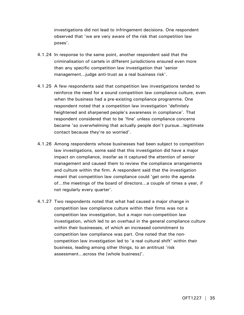investigations did not lead to infringement decisions. One respondent observed that 'we are very aware of the risk that competition law poses'.

- 4.1.24 In response to the same point, another respondent said that the criminalisation of cartels in different jurisdictions ensured even more than any specific competition law investigation that 'senior management...judge anti-trust as a real business risk'.
- 4.1.25 A few respondents said that competition law investigations tended to reinforce the need for a sound competition law compliance culture, even when the business had a pre-existing compliance programme. One respondent noted that a competition law investigation 'definitely heightened and sharpened people's awareness in compliance'. That respondent considered that to be 'fine' unless compliance concerns became 'so overwhelming that actually people don't pursue…legitimate contact because they're so worried'.
- 4.1.26 Among respondents whose businesses had been subject to competition law investigations, some said that this investigation did have a major impact on compliance, insofar as it captured the attention of senior management and caused them to review the compliance arrangements and culture within the firm. A respondent said that the investigation meant that competition law compliance could 'get onto the agenda of…the meetings of the board of directors…a couple of times a year, if not regularly every quarter'.
- 4.1.27 Two respondents noted that what had caused a major change in competition law compliance culture within their firms was not a competition law investigation, but a major non-competition law investigation, which led to an overhaul in the general compliance culture within their businesses, of which an increased commitment to competition law compliance was part. One noted that the noncompetition law investigation led to 'a real cultural shift' within their business, leading among other things, to an antitrust 'risk assessment…across the [whole business]'.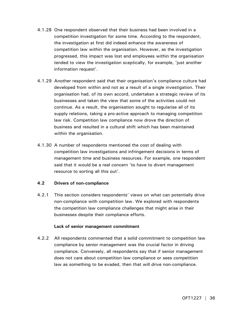- 4.1.28 One respondent observed that their business had been involved in a competition investigation for some time. According to the respondent, the investigation at first did indeed enhance the awareness of competition law within the organisation. However, as the investigation progressed, this impact was lost and employees within the organisation tended to view the investigation sceptically, for example, 'just another information request'.
- 4.1.29 Another respondent said that their organisation's compliance culture had developed from within and not as a result of a single investigation. Their organisation had, of its own accord, undertaken a strategic review of its businesses and taken the view that some of the activities could not continue. As a result, the organisation sought to regularise all of its supply relations, taking a pro-active approach to managing competition law risk. Competition law compliance now drove the direction of business and resulted in a cultural shift which has been maintained within the organisation.
- 4.1.30 A number of respondents mentioned the cost of dealing with competition law investigations and infringement decisions in terms of management time and business resources. For example, one respondent said that it would be a real concern 'to have to divert management resource to sorting all this out'.

# **4.2 Drivers of non-compliance**

4.2.1 This section considers respondents' views on what can potentially drive non-compliance with competition law. We explored with respondents the competition law compliance challenges that might arise in their businesses despite their compliance efforts.

# **Lack of senior management commitment**

4.2.2 All respondents commented that a solid commitment to competition law compliance by senior management was the crucial factor in driving compliance. Conversely, all respondents say that if senior management does not care about competition law compliance or sees competition law as something to be evaded, then that will drive non-compliance.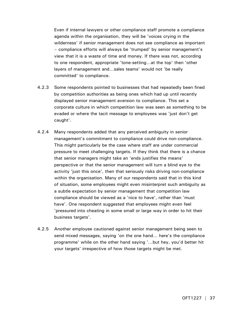Even if internal lawyers or other compliance staff promote a compliance agenda within the organisation, they will be 'voices crying in the wilderness' if senior management does not see compliance as important – compliance efforts will always be 'trumped' by senior management's view that it is a waste of time and money. If there was not, according to one respondent, appropriate 'tone-setting…at the top' then 'other layers of management and…sales teams' would not 'be really committed' to compliance.

- 4.2.3 Some respondents pointed to businesses that had repeatedly been fined by competition authorities as being ones which had up until recently displayed senior management aversion to compliance. This set a corporate culture in which competition law was seen as something to be evaded or where the tacit message to employees was 'just don't get caught'.
- 4.2.4 Many respondents added that any perceived ambiguity in senior management's commitment to compliance could drive non-compliance. This might particularly be the case where staff are under commercial pressure to meet challenging targets. If they think that there is a chance that senior managers might take an 'ends justifies the means' perspective or that the senior management will turn a blind eye to the activity 'just this once', then that seriously risks driving non-compliance within the organisation. Many of our respondents said that in this kind of situation, some employees might even misinterpret such ambiguity as a subtle expectation by senior management that competition law compliance should be viewed as a 'nice to have', rather than 'must have'. One respondent suggested that employees might even feel 'pressured into cheating in some small or large way in order to hit their business targets'.
- 4.2.5 Another employee cautioned against senior management being seen to send mixed messages, saying 'on the one hand… here's the compliance programme' while on the other hand saying '…but hey, you'd better hit your targets' irrespective of how those targets might be met.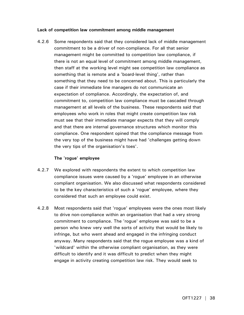## **Lack of competition law commitment among middle management**

4.2.6 Some respondents said that they considered lack of middle management commitment to be a driver of non-compliance. For all that senior management might be committed to competition law compliance, if there is not an equal level of commitment among middle management, then staff at the working level might see competition law compliance as something that is remote and a 'board-level thing', rather than something that they need to be concerned about. This is particularly the case if their immediate line managers do not communicate an expectation of compliance. Accordingly, the expectation of, and commitment to, competition law compliance must be cascaded through management at all levels of the business. These respondents said that employees who work in roles that might create competition law risk must see that their immediate manager expects that they will comply and that there are internal governance structures which monitor this compliance. One respondent opined that the compliance message from the very top of the business might have had 'challenges getting down the very tips of the organisation's toes'.

## **The 'rogue' employee**

- 4.2.7 We explored with respondents the extent to which competition law compliance issues were caused by a 'rogue' employee in an otherwise compliant organisation. We also discussed what respondents considered to be the key characteristics of such a 'rogue' employee, where they considered that such an employee could exist.
- 4.2.8 Most respondents said that 'rogue' employees were the ones most likely to drive non-compliance within an organisation that had a very strong commitment to compliance. The 'rogue' employee was said to be a person who knew very well the sorts of activity that would be likely to infringe, but who went ahead and engaged in the infringing conduct anyway. Many respondents said that the rogue employee was a kind of 'wildcard' within the otherwise compliant organisation, as they were difficult to identify and it was difficult to predict when they might engage in activity creating competition law risk. They would seek to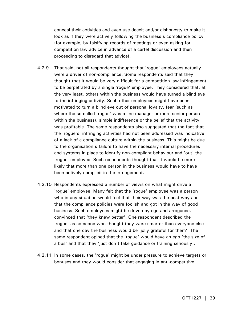conceal their activities and even use deceit and/or dishonesty to make it look as if they were actively following the business's compliance policy (for example, by falsifying records of meetings or even asking for competition law advice in advance of a cartel discussion and then proceeding to disregard that advice).

- 4.2.9 That said, not all respondents thought that 'rogue' employees actually were a driver of non-compliance. Some respondents said that they thought that it would be very difficult for a competition law infringement to be perpetrated by a single 'rogue' employee. They considered that, at the very least, others within the business would have turned a blind eye to the infringing activity. Such other employees might have been motivated to turn a blind eye out of personal loyalty, fear (such as where the so-called 'rogue' was a line manager or more senior person within the business), simple indifference or the belief that the activity was profitable. The same respondents also suggested that the fact that the 'rogue's' infringing activities had not been addressed was indicative of a lack of a compliance culture within the business. This might be due to the organisation's failure to have the necessary internal procedures and systems in place to identify non-compliant behaviour and 'out' the 'rogue' employee. Such respondents thought that it would be more likely that more than one person in the business would have to have been actively complicit in the infringement.
- 4.2.10 Respondents expressed a number of views on what might drive a 'rogue' employee. Many felt that the 'rogue' employee was a person who in any situation would feel that their way was the best way and that the compliance policies were foolish and got in the way of good business. Such employees might be driven by ego and arrogance, convinced that 'they knew better'. One respondent described the 'rogue' as someone who thought they were smarter than everyone else and that one day the business would be 'jolly grateful for them'. The same respondent opined that the 'rogue' would have an ego 'the size of a bus' and that they 'just don't take guidance or training seriously'.
- 4.2.11 In some cases, the 'rogue' might be under pressure to achieve targets or bonuses and they would consider that engaging in anti-competitive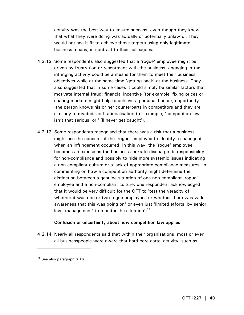activity was the best way to ensure success, even though they knew that what they were doing was actually or potentially unlawful. They would not see it fit to achieve those targets using only legitimate business means, in contrast to their colleagues.

- 4.2.12 Some respondents also suggested that a 'rogue' employee might be driven by frustration or resentment with the business: engaging in the infringing activity could be a means for them to meet their business objectives while at the same time 'getting back' at the business. They also suggested that in some cases it could simply be similar factors that motivate internal fraud: financial incentive (for example, fixing prices or sharing markets might help to achieve a personal bonus), opportunity (the person knows his or her counterparts in competitors and they are similarly motivated) and rationalisation (for example, 'competition law isn't that serious' or 'I'll never get caught').
- 4.2.13 Some respondents recognised that there was a risk that a business might use the concept of the 'rogue' employee to identify a scapegoat when an infringement occurred. In this way, the 'rogue' employee becomes an excuse as the business seeks to discharge its responsibility for non-compliance and possibly to hide more systemic issues indicating a non-compliant culture or a lack of appropriate compliance measures. In commenting on how a competition authority might determine the distinction between a genuine situation of one non-compliant 'rogue' employee and a non-compliant culture, one respondent acknowledged that it would be very difficult for the OFT to 'test the veracity of whether it was one or two rogue employees or whether there was wider awareness that this was going on' or even just 'limited efforts, by senior level management' to monitor the situation'.<sup>24</sup>

## **Confusion or uncertainty about how competition law applies**

4.2.14 Nearly all respondents said that within their organisations, most or even all businesspeople were aware that hard-core cartel activity, such as

-

<sup>&</sup>lt;sup>24</sup> See also paragraph 6.16.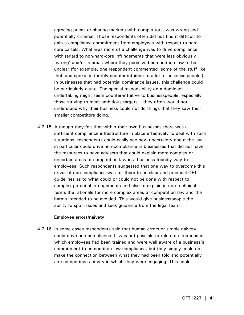agreeing prices or sharing markets with competitors, was wrong and potentially criminal. Those respondents often did not find it difficult to gain a compliance commitment from employees with respect to hardcore cartels. What was more of a challenge was to drive compliance with regard to non-hard-core infringements that were less obviously 'wrong' and/or in areas where they perceived competition law to be unclear (for example, one respondent commented 'some of the stuff like 'hub and spoke' is terribly counter-intuitive to a lot of business people'). In businesses that had potential dominance issues, this challenge could be particularly acute. The special responsibility on a dominant undertaking might seem counter-intuitive to businesspeople, especially those striving to meet ambitious targets – they often would not understand why their business could not do things that they saw their smaller competitors doing.

4.2.15 Although they felt that within their own businesses there was a sufficient compliance infrastructure in place effectively to deal with such situations, respondents could easily see how uncertainty about the law in particular could drive non-compliance in businesses that did not have the resources to have advisers that could explain more complex or uncertain areas of competition law in a business-friendly way to employees. Such respondents suggested that one way to overcome this driver of non-compliance was for there to be clear and practical OFT guidelines as to what could or could not be done with respect to complex potential infringements and also to explain in non-technical terms the rationale for more complex areas of competition law and the harms intended to be avoided. This would give businesspeople the ability to spot issues and seek guidance from the legal team.

#### **Employee errors/naivety**

4.2.16 In some cases respondents said that human errors or simple naivety could drive non-compliance. It was not possible to rule out situations in which employees had been trained and were well aware of a business's commitment to competition law compliance, but they simply could not make the connection between what they had been told and potentially anti-competitive activity in which they were engaging. This could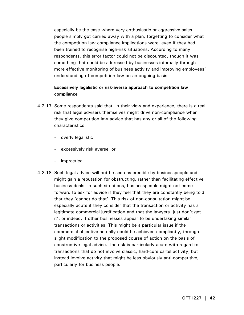especially be the case where very enthusiastic or aggressive sales people simply got carried away with a plan, forgetting to consider what the competition law compliance implications were, even if they had been trained to recognise high-risk situations. According to many respondents, this error factor could not be discounted, though it was something that could be addressed by businesses internally through more effective monitoring of business activity and improving employees' understanding of competition law on an ongoing basis.

## **Excessively legalistic or risk-averse approach to competition law compliance**

- 4.2.17 Some respondents said that, in their view and experience, there is a real risk that legal advisers themselves might drive non-compliance when they give competition law advice that has any or all of the following characteristics:
	- overly legalistic
	- excessively risk averse, or
	- impractical.
- 4.2.18 Such legal advice will not be seen as credible by businesspeople and might gain a reputation for obstructing, rather than facilitating effective business deals. In such situations, businesspeople might not come forward to ask for advice if they feel that they are constantly being told that they 'cannot do that'. This risk of non-consultation might be especially acute if they consider that the transaction or activity has a legitimate commercial justification and that the lawyers 'just don't get it', or indeed, if other businesses appear to be undertaking similar transactions or activities. This might be a particular issue if the commercial objective actually could be achieved compliantly, through slight modification to the proposed course of action on the basis of constructive legal advice. The risk is particularly acute with regard to transactions that do not involve classic, hard-core cartel activity, but instead involve activity that might be less obviously anti-competitive, particularly for business people.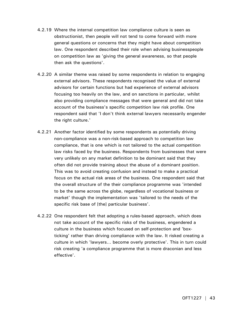- 4.2.19 Where the internal competition law compliance culture is seen as obstructionist, then people will not tend to come forward with more general questions or concerns that they might have about competition law. One respondent described their role when advising businesspeople on competition law as 'giving the general awareness, so that people then ask the questions'.
- 4.2.20 A similar theme was raised by some respondents in relation to engaging external advisors. These respondents recognised the value of external advisors for certain functions but had experience of external advisors focusing too heavily on the law, and on sanctions in particular, whilst also providing compliance messages that were general and did not take account of the business's specific competition law risk profile. One respondent said that 'I don't think external lawyers necessarily engender the right culture.'
- 4.2.21 Another factor identified by some respondents as potentially driving non-compliance was a non-risk-based approach to competition law compliance, that is one which is not tailored to the actual competition law risks faced by the business. Respondents from businesses that were very unlikely on any market definition to be dominant said that they often did not provide training about the abuse of a dominant position. This was to avoid creating confusion and instead to make a practical focus on the actual risk areas of the business. One respondent said that the overall structure of the their compliance programme was 'intended to be the same across the globe, regardless of vocational business or market' though the implementation was 'tailored to the needs of the specific risk base of [the] particular business'.
- 4.2.22 One respondent felt that adopting a rules-based approach, which does not take account of the specific risks of the business, engendered a culture in the business which focused on self-protection and 'boxticking' rather than driving compliance with the law. It risked creating a culture in which 'lawyers… become overly protective'. This in turn could risk creating 'a compliance programme that is more draconian and less effective'.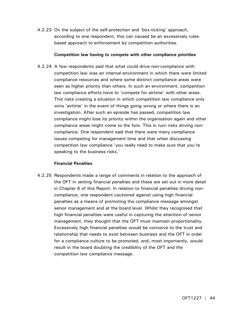4.2.23 On the subject of the self-protection and 'box-ticking' approach, according to one respondent, this can caused be an excessively rulesbased approach to enforcement by competition authorities.

## **Competition law having to compete with other compliance priorities**

4.2.24 A few respondents said that what could drive non-compliance with competition law was an internal environment in which there were limited compliance resources and where some distinct compliance areas were seen as higher priority than others. In such an environment, competition law compliance efforts have to 'compete for airtime' with other areas. This risks creating a situation in which competition law compliance only wins 'airtime' in the event of things going wrong or where there is an investigation. After such an episode has passed, competition law compliance might lose its priority within the organisation again and other compliance areas might come to the fore. This in turn risks driving noncompliance. One respondent said that there were many compliance issues competing for management time and that when discussing competition law compliance 'you really need to make sure that you're speaking to the business risks.'

## **Financial Penalties**

4.2.25 Respondents made a range of comments in relation to the approach of the OFT in setting financial penalties and these are set out in more detail in Chapter 6 of this Report. In relation to financial penalties driving noncompliance, one respondent cautioned against using high financial penalties as a means of promoting the compliance message amongst senior management and at the board level. Whilst they recognised that high financial penalties were useful in capturing the attention of senior management, they thought that the OFT must maintain proportionality. Excessively high financial penalties would be corrosive to the trust and relationship that needs to exist between business and the OFT in order for a compliance culture to be promoted, and, most importantly, would result in the board doubting the credibility of the OFT and the competition law compliance message.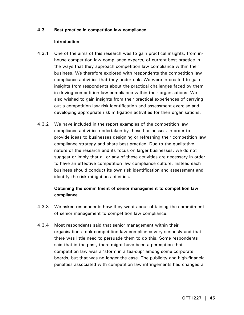## **4.3 Best practice in competition law compliance**

## **Introduction**

- 4.3.1 One of the aims of this research was to gain practical insights, from inhouse competition law compliance experts, of current best practice in the ways that they approach competition law compliance within their business. We therefore explored with respondents the competition law compliance activities that they undertook. We were interested to gain insights from respondents about the practical challenges faced by them in driving competition law compliance within their organisations. We also wished to gain insights from their practical experiences of carrying out a competition law risk identification and assessment exercise and developing appropriate risk mitigation activities for their organisations.
- 4.3.2 We have included in the report examples of the competition law compliance activities undertaken by these businesses, in order to provide ideas to businesses designing or refreshing their competition law compliance strategy and share best practice. Due to the qualitative nature of the research and its focus on larger businesses, we do not suggest or imply that all or any of these activities are necessary in order to have an effective competition law compliance culture. Instead each business should conduct its own risk identification and assessment and identify the risk mitigation activities.

# **Obtaining the commitment of senior management to competition law compliance**

- 4.3.3 We asked respondents how they went about obtaining the commitment of senior management to competition law compliance.
- 4.3.4 Most respondents said that senior management within their organisations took competition law compliance very seriously and that there was little need to persuade them to do this. Some respondents said that in the past, there might have been a perception that competition law was a 'storm in a tea-cup' among some corporate boards, but that was no longer the case. The publicity and high-financial penalties associated with competition law infringements had changed all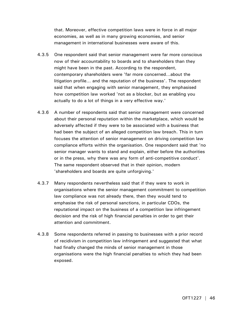that. Moreover, effective competition laws were in force in all major economies, as well as in many growing economies, and senior management in international businesses were aware of this.

- 4.3.5 One respondent said that senior management were far more conscious now of their accountability to boards and to shareholders than they might have been in the past. According to the respondent, contemporary shareholders were 'far more concerned…about the litigation profile… and the reputation of the business'. The respondent said that when engaging with senior management, they emphasised how competition law worked 'not as a blocker, but as enabling you actually to do a lot of things in a very effective way.'
- 4.3.6 A number of respondents said that senior management were concerned about their personal reputation within the marketplace, which would be adversely affected if they were to be associated with a business that had been the subject of an alleged competition law breach. This in turn focuses the attention of senior management on driving competition law compliance efforts within the organisation. One respondent said that 'no senior manager wants to stand and explain, either before the authorities or in the press, why there was any form of anti-competitive conduct'. The same respondent observed that in their opinion, modern 'shareholders and boards are quite unforgiving.'
- 4.3.7 Many respondents nevertheless said that if they were to work in organisations where the senior management commitment to competition law compliance was not already there, then they would tend to emphasise the risk of personal sanctions, in particular CDOs, the reputational impact on the business of a competition law infringement decision and the risk of high financial penalties in order to get their attention and commitment.
- 4.3.8 Some respondents referred in passing to businesses with a prior record of recidivism in competition law infringement and suggested that what had finally changed the minds of senior management in those organisations were the high financial penalties to which they had been exposed.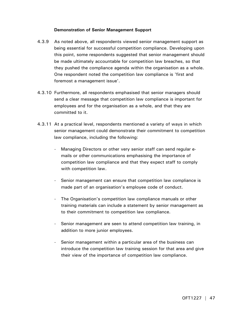## **Demonstration of Senior Management Support**

- 4.3.9 As noted above, all respondents viewed senior management support as being essential for successful competition compliance. Developing upon this point, some respondents suggested that senior management should be made ultimately accountable for competition law breaches, so that they pushed the compliance agenda within the organisation as a whole. One respondent noted the competition law compliance is 'first and foremost a management issue'.
- 4.3.10 Furthermore, all respondents emphasised that senior managers should send a clear message that competition law compliance is important for employees and for the organisation as a whole, and that they are committed to it.
- 4.3.11 At a practical level, respondents mentioned a variety of ways in which senior management could demonstrate their commitment to competition law compliance, including the following:
	- Managing Directors or other very senior staff can send regular emails or other communications emphasising the importance of competition law compliance and that they expect staff to comply with competition law.
	- Senior management can ensure that competition law compliance is made part of an organisation's employee code of conduct.
	- The Organisation's competition law compliance manuals or other training materials can include a statement by senior management as to their commitment to competition law compliance.
	- Senior management are seen to attend competition law training, in addition to more junior employees.
	- Senior management within a particular area of the business can introduce the competition law training session for that area and give their view of the importance of competition law compliance.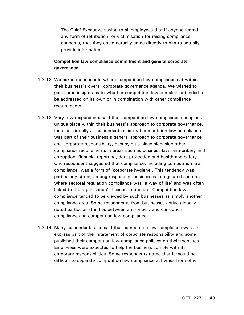The Chief Executive saying to all employees that if anyone feared any form of retribution, or victimisation for raising compliance concerns, that they could actually come directly to him to actually provide information.

## **Competition law compliance commitment and general corporate governance**

- 4.3.12 We asked respondents where competition law compliance sat within their business's overall corporate governance agenda. We wished to gain some insights as to whether competition law compliance tended to be addressed on its own or in combination with other compliance requirements.
- 4.3.13 Very few respondents said that competition law compliance occupied a unique place within their business's approach to corporate governance. Instead, virtually all respondents said that competition law compliance was part of their business's general approach to corporate governance and corporate responsibility, occupying a place alongside other compliance requirements in areas such as business law, anti-bribery and corruption, financial reporting, data protection and health and safety. One respondent suggested that compliance, including competition law compliance, was a form of 'corporate hygiene'. This tendency was particularly strong among respondent businesses in regulated sectors, where sectoral regulation compliance was 'a way of life' and was often linked to the organisation's licence to operate. Competition law compliance tended to be viewed by such businesses as simply another compliance area. Some respondents from businesses active globally noted particular affinities between anti-bribery and corruption compliance and competition law compliance.
- 4.3.14 Many respondents also said that competition law compliance was an express part of their statement of corporate responsibility and some published their competition law compliance policies on their websites. Employees were expected to help the business comply with its corporate responsibilities. Some respondents noted that it would be difficult to separate competition law compliance activities from other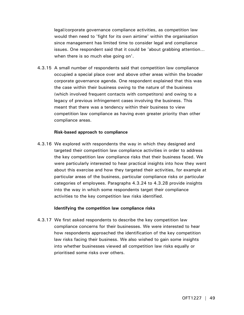legal/corporate governance compliance activities, as competition law would then need to 'fight for its own airtime' within the organisation since management has limited time to consider legal and compliance issues. One respondent said that it could be 'about grabbing attention… when there is so much else going on'.

4.3.15 A small number of respondents said that competition law compliance occupied a special place over and above other areas within the broader corporate governance agenda. One respondent explained that this was the case within their business owing to the nature of the business (which involved frequent contacts with competitors) and owing to a legacy of previous infringement cases involving the business. This meant that there was a tendency within their business to view competition law compliance as having even greater priority than other compliance areas.

#### **Risk-based approach to compliance**

4.3.16 We explored with respondents the way in which they designed and targeted their competition law compliance activities in order to address the key competition law compliance risks that their business faced. We were particularly interested to hear practical insights into how they went about this exercise and how they targeted their activities, for example at particular areas of the business, particular compliance risks or particular categories of employees. Paragraphs 4.3.24 to 4.3.28 provide insights into the way in which some respondents target their compliance activities to the key competition law risks identified.

## **Identifying the competition law compliance risks**

4.3.17 We first asked respondents to describe the key competition law compliance concerns for their businesses. We were interested to hear how respondents approached the identification of the key competition law risks facing their business. We also wished to gain some insights into whether businesses viewed all competition law risks equally or prioritised some risks over others.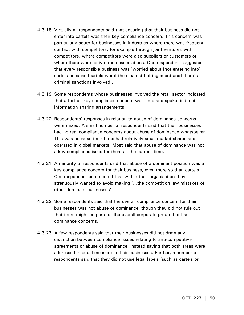- 4.3.18 Virtually all respondents said that ensuring that their business did not enter into cartels was their key compliance concern. This concern was particularly acute for businesses in industries where there was frequent contact with competitors, for example through joint ventures with competitors, where competitors were also suppliers or customers or where there were active trade associations. One respondent suggested that every responsible business was 'worried about [not entering into] cartels because [cartels were] the clearest [infringement and] there's criminal sanctions involved'.
- 4.3.19 Some respondents whose businesses involved the retail sector indicated that a further key compliance concern was 'hub-and-spoke' indirect information sharing arrangements.
- 4.3.20 Respondents' responses in relation to abuse of dominance concerns were mixed. A small number of respondents said that their businesses had no real compliance concerns about abuse of dominance whatsoever. This was because their firms had relatively small market shares and operated in global markets. Most said that abuse of dominance was not a key compliance issue for them as the current time.
- 4.3.21 A minority of respondents said that abuse of a dominant position was a key compliance concern for their business, even more so than cartels. One respondent commented that within their organisation they strenuously wanted to avoid making '…the competition law mistakes of other dominant businesses'.
- 4.3.22 Some respondents said that the overall compliance concern for their businesses was not abuse of dominance, though they did not rule out that there might be parts of the overall corporate group that had dominance concerns.
- 4.3.23 A few respondents said that their businesses did not draw any distinction between compliance issues relating to anti-competitive agreements or abuse of dominance, instead saying that both areas were addressed in equal measure in their businesses. Further, a number of respondents said that they did not use legal labels (such as cartels or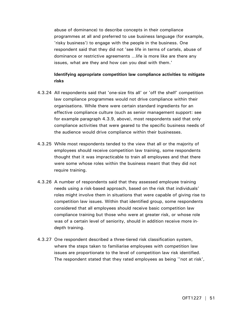abuse of dominance) to describe concepts in their compliance programmes at all and preferred to use business language (for example, 'risky business') to engage with the people in the business. One respondent said that they did not 'see life in terms of cartels, abuse of dominance or restrictive agreements …life is more like are there any issues, what are they and how can you deal with them.'

## **Identifying appropriate competition law compliance activities to mitigate risks**

- 4.3.24 All respondents said that 'one-size fits all' or 'off the shelf' competition law compliance programmes would not drive compliance within their organisations. While there were certain standard ingredients for an effective compliance culture (such as senior management support: see for example paragraph 4.3.9, above), most respondents said that only compliance activities that were geared to the specific business needs of the audience would drive compliance within their businesses.
- 4.3.25 While most respondents tended to the view that all or the majority of employees should receive competition law training, some respondents thought that it was impracticable to train all employees and that there were some whose roles within the business meant that they did not require training.
- 4.3.26 A number of respondents said that they assessed employee training needs using a risk-based approach, based on the risk that individuals' roles might involve them in situations that were capable of giving rise to competition law issues. Within that identified group, some respondents considered that all employees should receive basic competition law compliance training but those who were at greater risk, or whose role was of a certain level of seniority, should in addition receive more indepth training.
- 4.3.27 One respondent described a three-tiered risk classification system, where the steps taken to familiarise employees with competition law issues are proportionate to the level of competition law risk identified. The respondent stated that they rated employees as being ''not at risk',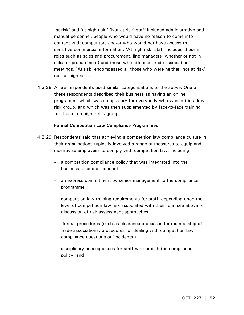'at risk' and 'at high risk'' 'Not at risk' staff included administrative and manual personnel, people who would have no reason to come into contact with competitors and/or who would not have access to sensitive commercial information. 'At high risk' staff included those in roles such as sales and procurement, line managers (whether or not in sales or procurement) and those who attended trade association meetings. 'At risk' encompassed all those who were neither 'not at risk' nor 'at high risk'.

4.3.28 A few respondents used similar categorisations to the above. One of these respondents described their business as having an online programme which was compulsory for everybody who was not in a low risk group, and which was then supplemented by face-to-face training for those in a higher risk group.

## **Formal Competition Law Compliance Programmes**

- 4.3.29 Respondents said that achieving a competition law compliance culture in their organisations typically involved a range of measures to equip and incentivise employees to comply with competition law, including:
	- a competition compliance policy that was integrated into the business's code of conduct
	- an express commitment by senior management to the compliance programme
	- competition law training requirements for staff, depending upon the level of competition law risk associated with their role (see above for discussion of risk assessment approaches)
	- formal procedures (such as clearance processes for membership of trade associations, procedures for dealing with competition law compliance questions or 'incidents')
	- disciplinary consequences for staff who breach the compliance policy, and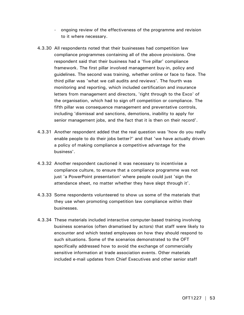- ongoing review of the effectiveness of the programme and revision to it where necessary.
- 4.3.30 All respondents noted that their businesses had competition law compliance programmes containing all of the above provisions. One respondent said that their business had a 'five pillar' compliance framework. The first pillar involved management buy-in, policy and guidelines. The second was training, whether online or face to face. The third pillar was 'what we call audits and reviews'. The fourth was monitoring and reporting, which included certification and insurance letters from management and directors, 'right through to the Exco' of the organisation, which had to sign off competition or compliance. The fifth pillar was consequence management and preventative controls, including 'dismissal and sanctions, demotions, inability to apply for senior management jobs, and the fact that it is then on their record'.
- 4.3.31 Another respondent added that the real question was 'how do you really enable people to do their jobs better?' and that 'we have actually driven a policy of making compliance a competitive advantage for the business'.
- 4.3.32 Another respondent cautioned it was necessary to incentivise a compliance culture, to ensure that a compliance programme was not just 'a PowerPoint presentation' where people could just 'sign the attendance sheet, no matter whether they have slept through it'.
- 4.3.33 Some respondents volunteered to show us some of the materials that they use when promoting competition law compliance within their businesses.
- 4.3.34 These materials included interactive computer-based training involving business scenarios (often dramatised by actors) that staff were likely to encounter and which tested employees on how they should respond to such situations. Some of the scenarios demonstrated to the OFT specifically addressed how to avoid the exchange of commercially sensitive information at trade association events. Other materials included e-mail updates from Chief Executives and other senior staff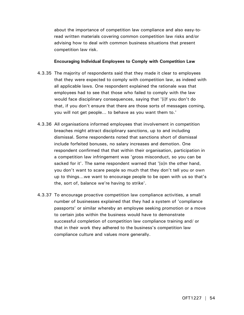about the importance of competition law compliance and also easy-toread written materials covering common competition law risks and/or advising how to deal with common business situations that present competition law risk.

## **Encouraging Individual Employees to Comply with Competition Law**

- 4.3.35 The majority of respondents said that they made it clear to employees that they were expected to comply with competition law, as indeed with all applicable laws. One respondent explained the rationale was that employees had to see that those who failed to comply with the law would face disciplinary consequences, saying that '[i]f you don't do that, if you don't ensure that there are those sorts of messages coming, you will not get people… to behave as you want them to.'
- 4.3.36 All organisations informed employees that involvement in competition breaches might attract disciplinary sanctions, up to and including dismissal. Some respondents noted that sanctions short of dismissal include forfeited bonuses, no salary increases and demotion. One respondent confirmed that that within their organisation, participation in a competition law infringement was 'gross misconduct, so you can be sacked for it'. The same respondent warned that '[o]n the other hand, you don't want to scare people so much that they don't tell you or own up to things…we want to encourage people to be open with us so that's the, sort of, balance we're having to strike'.
- 4.3.37 To encourage proactive competition law compliance activities, a small number of businesses explained that they had a system of 'compliance passports' or similar whereby an employee seeking promotion or a move to certain jobs within the business would have to demonstrate successful completion of competition law compliance training and/ or that in their work they adhered to the business's competition law compliance culture and values more generally.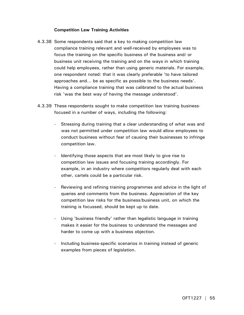## **Competition Law Training Activities**

- 4.3.38 Some respondents said that a key to making competition law compliance training relevant and well-received by employees was to focus the training on the specific business of the business and/ or business unit receiving the training and on the ways in which training could help employees, rather than using generic materials. For example, one respondent noted: that it was clearly preferable 'to have tailored approaches and... be as specific as possible to the business needs'. Having a compliance training that was calibrated to the actual business risk 'was the best way of having the message understood'.
- 4.3.39 These respondents sought to make competition law training businessfocused in a number of ways, including the following:
	- Stressing during training that a clear understanding of what was and was not permitted under competition law would allow employees to conduct business without fear of causing their businesses to infringe competition law.
	- Identifying those aspects that are most likely to give rise to competition law issues and focusing training accordingly. For example, in an industry where competitors regularly deal with each other, cartels could be a particular risk.
	- Reviewing and refining training programmes and advice in the light of queries and comments from the business. Appreciation of the key competition law risks for the business/business unit, on which the training is focussed, should be kept up to date.
	- Using 'business friendly' rather than legalistic language in training makes it easier for the business to understand the messages and harder to come up with a business objection.
	- Including business-specific scenarios in training instead of generic examples from pieces of legislation.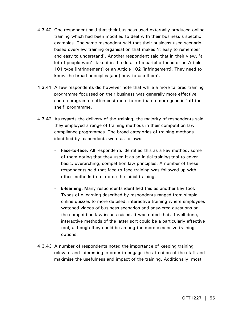- 4.3.40 One respondent said that their business used externally produced online training which had been modified to deal with their business's specific examples. The same respondent said that their business used scenariobased overview training organisation that makes 'it easy to remember and easy to understand'. Another respondent said that in their view, 'a lot of people won't take it in the detail of a cartel offence or an Article 101 type [infringement] or an Article 102 [infringement]. They need to know the broad principles [and] how to use them'.
- 4.3.41 A few respondents did however note that while a more tailored training programme focussed on their business was generally more effective, such a programme often cost more to run than a more generic 'off the shelf' programme.
- 4.3.42 As regards the delivery of the training, the majority of respondents said they employed a range of training methods in their competition law compliance programmes. The broad categories of training methods identified by respondents were as follows:
	- **Face-to-face.** All respondents identified this as a key method, some of them noting that they used it as an initial training tool to cover basic, overarching, competition law principles. A number of these respondents said that face-to-face training was followed up with other methods to reinforce the initial training.
	- **E-learning.** Many respondents identified this as another key tool. Types of e-learning described by respondents ranged from simple online quizzes to more detailed, interactive training where employees watched videos of business scenarios and answered questions on the competition law issues raised. It was noted that, if well done, interactive methods of the latter sort could be a particularly effective tool, although they could be among the more expensive training options.
- 4.3.43 A number of respondents noted the importance of keeping training relevant and interesting in order to engage the attention of the staff and maximise the usefulness and impact of the training. Additionally, most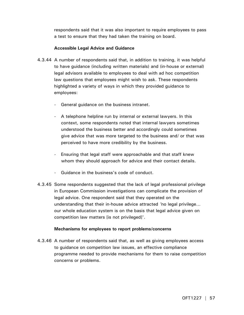respondents said that it was also important to require employees to pass a test to ensure that they had taken the training on board.

## **Accessible Legal Advice and Guidance**

- 4.3.44 A number of respondents said that, in addition to training, it was helpful to have guidance (including written materials) and (in-house or external) legal advisors available to employees to deal with ad hoc competition law questions that employees might wish to ask. These respondents highlighted a variety of ways in which they provided guidance to employees:
	- General guidance on the business intranet.
	- A telephone helpline run by internal or external lawyers. In this context, some respondents noted that internal lawyers sometimes understood the business better and accordingly could sometimes give advice that was more targeted to the business and/ or that was perceived to have more credibility by the business.
	- Ensuring that legal staff were approachable and that staff knew whom they should approach for advice and their contact details.
	- Guidance in the business's code of conduct.
- 4.3.45 Some respondents suggested that the lack of legal professional privilege in European Commission investigations can complicate the provision of legal advice. One respondent said that they operated on the understanding that their in-house advice attracted *'*no legal privilege… our whole education system is on the basis that legal advice given on competition law matters [is not privileged]'.

## **Mechanisms for employees to report problems/concerns**

4.3.46 A number of respondents said that, as well as giving employees access to guidance on competition law issues, an effective compliance programme needed to provide mechanisms for them to raise competition concerns or problems.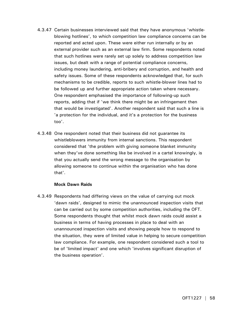- 4.3.47 Certain businesses interviewed said that they have anonymous 'whistleblowing hotlines', to which competition law compliance concerns can be reported and acted upon. These were either run internally or by an external provider such as an external law firm. Some respondents noted that such hotlines were rarely set up solely to address competition law issues, but dealt with a range of potential compliance concerns, including money laundering, anti-bribery and corruption, and health and safety issues. Some of these respondents acknowledged that, for such mechanisms to be credible, reports to such whistle-blower lines had to be followed up and further appropriate action taken where necessary. One respondent emphasised the importance of following-up such reports, adding that if 'we think there might be an infringement then that would be investigated'. Another respondent said that such a line is 'a protection for the individual, and it's a protection for the business too'.
- 4.3.48 One respondent noted that their business did not guarantee its whistleblowers immunity from internal sanctions. This respondent considered that 'the problem with giving someone blanket immunity when they've done something like be involved in a cartel knowingly, is that you actually send the wrong message to the organisation by allowing someone to continue within the organisation who has done that'.

## **Mock Dawn Raids**

4.3.49 Respondents had differing views on the value of carrying out mock 'dawn raids', designed to mimic the unannounced inspection visits that can be carried out by some competition authorities, including the OFT. Some respondents thought that whilst mock dawn raids could assist a business in terms of having processes in place to deal with an unannounced inspection visits and showing people how to respond to the situation, they were of limited value in helping to secure competition law compliance. For example, one respondent considered such a tool to be of 'limited impact' and one which 'involves significant disruption of the business operation'.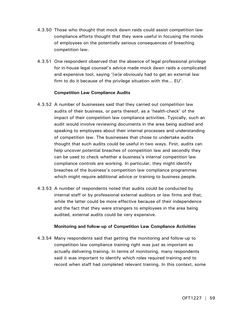- 4.3.50 Those who thought that mock dawn raids could assist competition law compliance efforts thought that they were useful in focusing the minds of employees on the potentially serious consequences of breaching competition law.
- 4.3.51 One respondent observed that the absence of legal professional privilege for in-house legal counsel's advice made mock dawn raids a complicated and expensive tool, saying '[w]e obviously had to get an external law firm to do it because of the privilege situation with the... EU'.

## **Competition Law Compliance Audits**

- 4.3.52 A number of businesses said that they carried out competition law audits of their business, or parts thereof, as a 'health-check' of the impact of their competition law compliance activities. Typically, such an audit would involve reviewing documents in the area being audited and speaking to employees about their internal processes and understanding of competition law. The businesses that chose to undertake audits thought that such audits could be useful in two ways. First, audits can help uncover potential breaches of competition law and secondly they can be used to check whether a business's internal competition law compliance controls are working. In particular, they might identify breaches of the business's competition law compliance programmes which might require additional advice or training to business people.
- 4.3.53 A number of respondents noted that audits could be conducted by internal staff or by professional external auditors or law firms and that, while the latter could be more effective because of their independence and the fact that they were strangers to employees in the area being audited, external audits could be very expensive.

## **Monitoring and follow-up of Competition Law Compliance Activities**

4.3.54 Many respondents said that getting the monitoring and follow-up to competition law compliance training right was just as important as actually delivering training. In terms of monitoring, many respondents said it was important to identify which roles required training and to record when staff had completed relevant training. In this context, some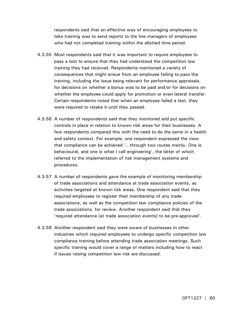respondents said that an effective way of encouraging employees to take training was to send reports to the line managers of employees who had not completed training within the allotted time period.

- 4.3.55 Most respondents said that it was important to require employees to pass a test to ensure that they had understood the competition law training they had received. Respondents mentioned a variety of consequences that might ensue from an employee failing to pass the training, including the issue being relevant for performance appraisals, for decisions on whether a bonus was to be paid and/or for decisions on whether the employee could apply for promotion or even lateral transfer. Certain respondents noted that when an employee failed a test, they were required to retake it until they passed.
- 4.3.56 A number of respondents said that they monitored and put specific controls in place in relation to known risk areas for their businesses. A few respondents compared this with the need to do the same in a health and safety context. For example, one respondent expressed the view that compliance can be achieved '*…*through two routes mainly. One is behavioural, and one is what I call engineering', the latter of which referred to the implementation of risk management systems and procedures.
- 4.3.57 A number of respondents gave the example of monitoring membership of trade associations and attendance at trade association events, as activities targeted at known risk areas. One respondent said that they required employees to register their membership of any trade associations, as well as the competition law compliance policies of the trade associations, for review. Another respondent said that they 'required attendance [at trade association events] to be pre-approved'.
- 4.3.58 Another respondent said they were aware of businesses in other industries which required employees to undergo specific competition law compliance training before attending trade association meetings. Such specific training would cover a range of matters including how to react if issues raising competition law risk are discussed.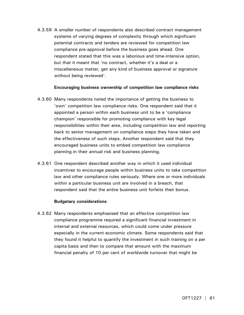4.3.59 A smaller number of respondents also described contract management systems of varying degrees of complexity through which significant potential contracts and tenders are reviewed for competition law compliance pre-approval before the business goes ahead. One respondent stated that this was a laborious and time-intensive option, but that it meant that 'no contract, whether it's a deal or a miscellaneous matter, get any kind of business approval or signature without being reviewed'.

## **Encouraging business ownership of competition law compliance risks**

- 4.3.60 Many respondents noted the importance of getting the business to 'own' competition law compliance risks. One respondent said that it appointed a person within each business unit to be a 'compliance champion' responsible for promoting compliance with key legal responsibilities within their area, including competition law and reporting back to senior management on compliance steps they have taken and the effectiveness of such steps. Another respondent said that they encouraged business units to embed competition law compliance planning in their annual risk and business planning.
- 4.3.61 One respondent described another way in which it used individual incentives to encourage people within business units to take competition law and other compliance rules seriously. Where one or more individuals within a particular business unit are involved in a breach, that respondent said that the entire business unit forfeits their bonus.

## **Budgetary considerations**

4.3.62 Many respondents emphasised that an effective competition law compliance programme required a significant financial investment in internal and external resources, which could come under pressure especially in the current economic climate. Some respondents said that they found it helpful to quantify the investment in such training on a per capita basis and then to compare that amount with the maximum financial penalty of 10 per cent of worldwide turnover that might be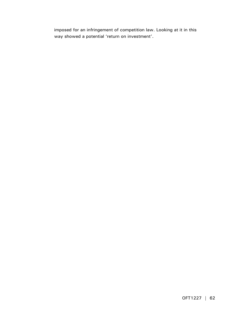imposed for an infringement of competition law. Looking at it in this way showed a potential 'return on investment'.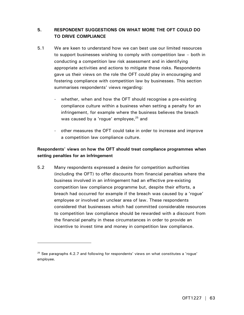# **5. RESPONDENT SUGGESTIONS ON WHAT MORE THE OFT COULD DO TO DRIVE COMPLIANCE**

- 5.1 We are keen to understand how we can best use our limited resources to support businesses wishing to comply with competition law – both in conducting a competition law risk assessment and in identifying appropriate activities and actions to mitigate those risks. Respondents gave us their views on the role the OFT could play in encouraging and fostering compliance with competition law by businesses. This section summarises respondents' views regarding:
	- whether, when and how the OFT should recognise a pre-existing compliance culture within a business when setting a penalty for an infringement, for example where the business believes the breach was caused by a 'rogue' employee, $25$  and
	- other measures the OFT could take in order to increase and improve a competition law compliance culture.

# **Respondents' views on how the OFT should treat compliance programmes when setting penalties for an infringement**

5.2 Many respondents expressed a desire for competition authorities (including the OFT) to offer discounts from financial penalties where the business involved in an infringement had an effective pre-existing competition law compliance programme but, despite their efforts, a breach had occurred for example if the breach was caused by a 'rogue' employee or involved an unclear area of law. These respondents considered that businesses which had committed considerable resources to competition law compliance should be rewarded with a discount from the financial penalty in these circumstances in order to provide an incentive to invest time and money in competition law compliance.

-

 $25$  See paragraphs 4.2.7 and following for respondents' views on what constitutes a 'rogue' employee.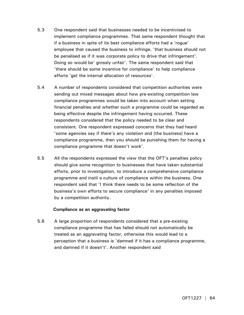- 5.3 One respondent said that businesses needed to be incentivised to implement compliance programmes. That same respondent thought that if a business in spite of its best compliance efforts had a 'rogue' employee that caused the business to infringe, 'that business should not be penalised as if it was corporate policy to drive that infringement'. Doing so would be' grossly unfair'. The same respondent said that 'there should be some incentive for compliance' to help compliance efforts 'get the internal allocation of resources'.
- 5.4 A number of respondents considered that competition authorities were sending out mixed messages about how pre-existing competition law compliance programmes would be taken into account when setting financial penalties and whether such a programme could be regarded as being effective despite the infringement having occurred. These respondents considered that the policy needed to be clear and consistent. One respondent expressed concerns that they had heard 'some agencies say if there's any violation and [the business] have a compliance programme, then you should be punishing them for having a compliance programme that doesn't work'.
- 5.5 All the respondents expressed the view that the OFT's penalties policy should give some recognition to businesses that have taken substantial efforts, prior to investigation, to introduce a comprehensive compliance programme and instil a culture of compliance within the business. One respondent said that 'I think there needs to be some reflection of the business's own efforts to secure compliance' in any penalties imposed by a competition authority.

## **Compliance as an aggravating factor**

5.6 A large proportion of respondents considered that a pre-existing compliance programme that has failed should not automatically be treated as an aggravating factor, otherwise this would lead to a perception that a business is 'damned if it has a compliance programme, and damned if it doesn't'. Another respondent said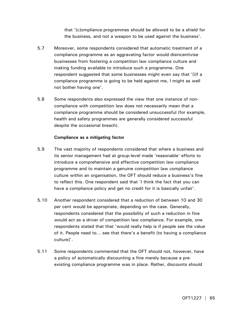that '[c]ompliance programmes should be allowed to be a shield for the business, and not a weapon to be used against the business'.

- 5.7 Moreover, some respondents considered that automatic treatment of a compliance programme as an aggravating factor would disincentivise businesses from fostering a competition law compliance culture and making funding available to introduce such a programme. One respondent suggested that some businesses might even say that '[i]f a compliance programme is going to be held against me, I might as well not bother having one'.
- 5.8 Some respondents also expressed the view that one instance of noncompliance with competition law does not necessarily mean that a compliance programme should be considered unsuccessful (for example, health and safety programmes are generally considered successful despite the occasional breach).

## **Compliance as a mitigating factor**

- 5.9 The vast majority of respondents considered that where a business and its senior management had at group-level made 'reasonable' efforts to introduce a comprehensive and effective competition law compliance programme and to maintain a genuine competition law compliance culture within an organisation, the OFT should reduce a business's fine to reflect this. One respondent said that 'I think the fact that you can have a compliance policy and get no credit for it is basically unfair'.
- 5.10 Another respondent considered that a reduction of between 10 and 30 per cent would be appropriate, depending on the case. Generally, respondents considered that the possibility of such a reduction in fine would act as a driver of competition law compliance. For example, one respondents stated that that 'would really help is if people see the value of it. People need to… see that there's a benefit [to having a compliance culture]'.
- 5.11 Some respondents commented that the OFT should not, however, have a policy of automatically discounting a fine merely because a preexisting compliance programme was in place. Rather, discounts should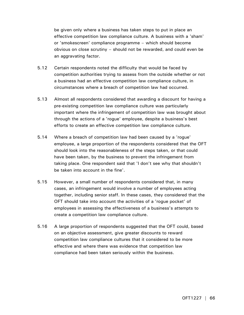be given only where a business has taken steps to put in place an effective competition law compliance culture. A business with a 'sham' or 'smokescreen' compliance programme – which should become obvious on close scrutiny – should not be rewarded, and could even be an aggravating factor.

- 5.12 Certain respondents noted the difficulty that would be faced by competition authorities trying to assess from the outside whether or not a business had an effective competition law compliance culture, in circumstances where a breach of competition law had occurred.
- 5.13 Almost all respondents considered that awarding a discount for having a pre-existing competition law compliance culture was particularly important where the infringement of competition law was brought about through the actions of a 'rogue' employee, despite a business's best efforts to create an effective competition law compliance culture.
- 5.14 Where a breach of competition law had been caused by a 'rogue' employee, a large proportion of the respondents considered that the OFT should look into the reasonableness of the steps taken, or that could have been taken, by the business to prevent the infringement from taking place. One respondent said that 'I don't see why that shouldn't be taken into account in the fine'.
- 5.15 However, a small number of respondents considered that, in many cases, an infringement would involve a number of employees acting together, including senior staff. In these cases, they considered that the OFT should take into account the activities of a 'rogue pocket' of employees in assessing the effectiveness of a business's attempts to create a competition law compliance culture.
- 5.16 A large proportion of respondents suggested that the OFT could, based on an objective assessment, give greater discounts to reward competition law compliance cultures that it considered to be more effective and where there was evidence that competition law compliance had been taken seriously within the business.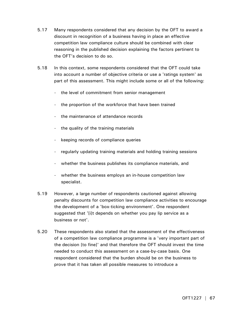- 5.17 Many respondents considered that any decision by the OFT to award a discount in recognition of a business having in place an effective competition law compliance culture should be combined with clear reasoning in the published decision explaining the factors pertinent to the OFT's decision to do so.
- 5.18 In this context, some respondents considered that the OFT could take into account a number of objective criteria or use a 'ratings system' as part of this assessment. This might include some or all of the following:
	- the level of commitment from senior management
	- the proportion of the workforce that have been trained
	- the maintenance of attendance records
	- the quality of the training materials
	- keeping records of compliance queries
	- regularly updating training materials and holding training sessions
	- whether the business publishes its compliance materials, and
	- whether the business employs an in-house competition law specialist.
- 5.19 However, a large number of respondents cautioned against allowing penalty discounts for competition law compliance activities to encourage the development of a 'box-ticking environment'. One respondent suggested that '[i]t depends on whether you pay lip service as a business or not'.
- 5.20 These respondents also stated that the assessment of the effectiveness of a competition law compliance programme is a 'very important part of the decision [to fine]' and that therefore the OFT should invest the time needed to conduct this assessment on a case-by-case basis. One respondent considered that the burden should be on the business to prove that it has taken all possible measures to introduce a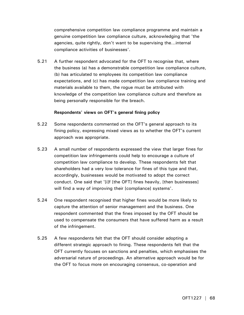comprehensive competition law compliance programme and maintain a genuine competition law compliance culture, acknowledging that 'the agencies, quite rightly, don't want to be supervising the…internal compliance activities of businesses'.

5.21 A further respondent advocated for the OFT to recognise that, where the business (a) has a demonstrable competition law compliance culture, (b) has articulated to employees its competition law compliance expectations, and (c) has made competition law compliance training and materials available to them, the rogue must be attributed with knowledge of the competition law compliance culture and therefore as being personally responsible for the breach.

## **Respondents' views on OFT's general fining policy**

- 5.22 Some respondents commented on the OFT's general approach to its fining policy, expressing mixed views as to whether the OFT's current approach was appropriate.
- 5.23 A small number of respondents expressed the view that larger fines for competition law infringements could help to encourage a culture of competition law compliance to develop. These respondents felt that shareholders had a very low tolerance for fines of this type and that, accordingly, businesses would be motivated to adopt the correct conduct. One said that '[i]f [the OFT] fines heavily, [then businesses] will find a way of improving their [compliance] systems'.
- 5.24 One respondent recognised that higher fines would be more likely to capture the attention of senior management and the business. One respondent commented that the fines imposed by the OFT should be used to compensate the consumers that have suffered harm as a result of the infringement.
- 5.25 A few respondents felt that the OFT should consider adopting a different strategic approach to fining. These respondents felt that the OFT currently focuses on sanctions and penalties, which emphasises the adversarial nature of proceedings. An alternative approach would be for the OFT to focus more on encouraging consensus, co-operation and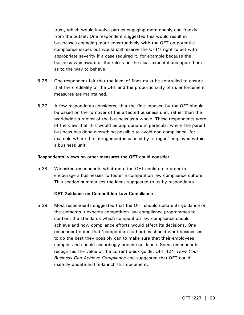trust, which would involve parties engaging more openly and frankly from the outset. One respondent suggested this would result in businesses engaging more constructively with the OFT on potential compliance issues but would still reserve the OFT's right to act with appropriate severity if a case required it, for example because the business was aware of the rules and the clear expectations upon them as to the way to behave.

- 5.26 One respondent felt that the level of fines must be controlled to ensure that the credibility of the OFT and the proportionality of its enforcement measures are maintained.
- 5.27 A few respondents considered that the fine imposed by the OFT should be based on the turnover of the affected business unit, rather than the worldwide turnover of the business as a whole. These respondents were of the view that this would be appropriate in particular where the parent business has done everything possible to avoid non-compliance, for example where the infringement is caused by a 'rogue' employee within a business unit.

#### **Respondents' views on other measures the OFT could consider**

5.28 We asked respondents what more the OFT could do in order to encourage a businesses to foster a competition law compliance culture. This section summarises the ideas suggested to us by respondents.

#### **OFT Guidance on Competition Law Compliance**

5.29 Most respondents suggested that the OFT should update its guidance on the elements it expects competition law compliance programmes to contain, the standards which competition law compliance should achieve and how compliance efforts would affect its decisions. One respondent noted that 'competition authorities should want businesses to do the best they possibly can to make sure that their employees comply' and should accordingly provide guidance. Some respondents recognised the value of the current quick guide, OFT 424, *How Your Business Can Achieve Compliance* and suggested that OFT could usefully update and re-launch this document.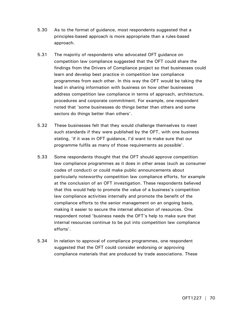- 5.30 As to the format of guidance, most respondents suggested that a principles-based approach is more appropriate than a rules-based approach.
- 5.31 The majority of respondents who advocated OFT guidance on competition law compliance suggested that the OFT could share the findings from the Drivers of Compliance project so that businesses could learn and develop best practice in competition law compliance programmes from each other. In this way the OFT would be taking the lead in sharing information with business on how other businesses address competition law compliance in terms of approach, architecture, procedures and corporate commitment. For example, one respondent noted that 'some businesses do things better than others and some sectors do things better than others'.
- 5.32 These businesses felt that they would challenge themselves to meet such standards if they were published by the OFT, with one business stating, 'if it was in OFT guidance, I'd want to make sure that our programme fulfils as many of those requirements as possible'.
- 5.33 Some respondents thought that the OFT should approve competition law compliance programmes as it does in other areas (such as consumer codes of conduct) or could make public announcements about particularly noteworthy competition law compliance efforts, for example at the conclusion of an OFT investigation. These respondents believed that this would help to promote the value of a business's competition law compliance activities internally and promote the benefit of the compliance efforts to the senior management on an ongoing basis, making it easier to secure the internal allocation of resources. One respondent noted 'business needs the OFT's help to make sure that internal resources continue to be put into competition law compliance efforts'.
- 5.34 In relation to approval of compliance programmes, one respondent suggested that the OFT could consider endorsing or approving compliance materials that are produced by trade associations. These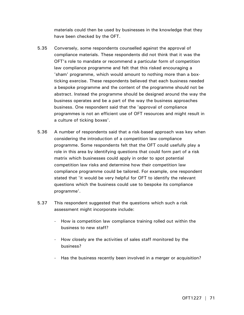materials could then be used by businesses in the knowledge that they have been checked by the OFT.

- 5.35 Conversely, some respondents counselled against the approval of compliance materials. These respondents did not think that it was the OFT's role to mandate or recommend a particular form of competition law compliance programme and felt that this risked encouraging a 'sham' programme, which would amount to nothing more than a boxticking exercise. These respondents believed that each business needed a bespoke programme and the content of the programme should not be abstract. Instead the programme should be designed around the way the business operates and be a part of the way the business approaches business. One respondent said that the 'approval of compliance programmes is not an efficient use of OFT resources and might result in a culture of ticking boxes'.
- 5.36 A number of respondents said that a risk-based approach was key when considering the introduction of a competition law compliance programme. Some respondents felt that the OFT could usefully play a role in this area by identifying questions that could form part of a risk matrix which businesses could apply in order to spot potential competition law risks and determine how their competition law compliance programme could be tailored. For example, one respondent stated that 'it would be very helpful for OFT to identify the relevant questions which the business could use to bespoke its compliance programme'.
- 5.37 This respondent suggested that the questions which such a risk assessment might incorporate include:
	- How is competition law compliance training rolled out within the business to new staff?
	- How closely are the activities of sales staff monitored by the business?
	- Has the business recently been involved in a merger or acquisition?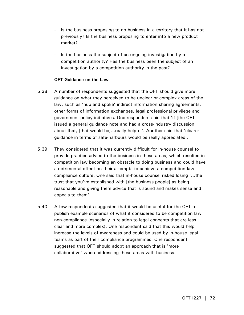- Is the business proposing to do business in a territory that it has not previously? Is the business proposing to enter into a new product market?
- Is the business the subject of an ongoing investigation by a competition authority? Has the business been the subject of an investigation by a competition authority in the past?

## **OFT Guidance on the Law**

- 5.38 A number of respondents suggested that the OFT should give more guidance on what they perceived to be unclear or complex areas of the law, such as 'hub and spoke' indirect information sharing agreements, other forms of information exchanges, legal professional privilege and government policy initiatives. One respondent said that 'if [the OFT issued a general guidance note and had a cross-industry discussion about that, [that would be]…really helpful'. Another said that 'clearer guidance in terms of safe-harbours would be really appreciated'.
- 5.39 They considered that it was currently difficult for in-house counsel to provide practice advice to the business in these areas, which resulted in competition law becoming an obstacle to doing business and could have a detrimental effect on their attempts to achieve a competition law compliance culture. One said that in-house counsel risked losing '…the trust that you've established with [the business people] as being reasonable and giving them advice that is sound and makes sense and appeals to them'.
- 5.40 A few respondents suggested that it would be useful for the OFT to publish example scenarios of what it considered to be competition law non-compliance (especially in relation to legal concepts that are less clear and more complex). One respondent said that this would help increase the levels of awareness and could be used by in-house legal teams as part of their compliance programmes. One respondent suggested that OFT should adopt an approach that is 'more collaborative' when addressing these areas with business.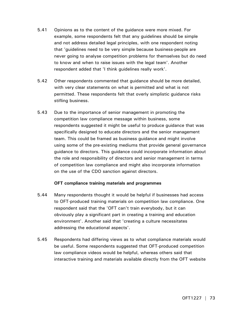- 5.41 Opinions as to the content of the guidance were more mixed. For example, some respondents felt that any guidelines should be simple and not address detailed legal principles, with one respondent noting that 'guidelines need to be very simple because business-people are never going to analyse competition problems for themselves but do need to know and when to raise issues with the legal team'. Another respondent added that 'I think guidelines really work'.
- 5.42 Other respondents commented that guidance should be more detailed, with very clear statements on what is permitted and what is not permitted. These respondents felt that overly simplistic guidance risks stifling business.
- 5.43 Due to the importance of senior management in promoting the competition law compliance message within business, some respondents suggested it might be useful to produce guidance that was specifically designed to educate directors and the senior management team. This could be framed as business guidance and might involve using some of the pre-existing mediums that provide general governance guidance to directors. This guidance could incorporate information about the role and responsibility of directors and senior management in terms of competition law compliance and might also incorporate information on the use of the CDO sanction against directors.

# **OFT compliance training materials and programmes**

- 5.44 Many respondents thought it would be helpful if businesses had access to OFT-produced training materials on competition law compliance. One respondent said that the 'OFT can't train everybody, but it can obviously play a significant part in creating a training and education environment'. Another said that 'creating a culture necessitates addressing the educational aspects'.
- 5.45 Respondents had differing views as to what compliance materials would be useful. Some respondents suggested that OFT-produced competition law compliance videos would be helpful, whereas others said that interactive training and materials available directly from the OFT website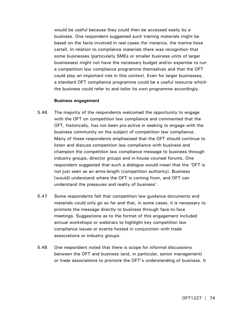would be useful because they could then be accessed easily by a business. One respondent suggested such training materials might be based on the facts involved in real cases (for instance, the marine hose cartel). In relation to compliance materials there was recognition that some businesses (particularly SMEs or smaller business units of larger businesses) might not have the necessary budget and/or expertise to run a competition law compliance programme themselves and that the OFT could play an important role in this context. Even for larger businesses, a standard OFT compliance programme could be a useful resource which the business could refer to and tailor its own programme accordingly.

#### **Business engagement**

- 5.46 The majority of the respondents welcomed the opportunity to engage with the OFT on competition law compliance and commented that the OFT, historically, has not been pro-active in seeking to engage with the business community on the subject of competition law compliance. Many of these respondents emphasised that the OFT should continue to listen and discuss competition law compliance with business and champion the competition law compliance message to business through industry groups, director groups and in-house counsel forums. One respondent suggested that such a dialogue would mean that the 'OFT is not just seen as an arms-length [competition authority]. Business [would] understand where the OFT is coming from, and OFT can understand the pressures and reality of business'.
- 5.47 Some respondents felt that competition law guidance documents and materials could only go so far and that, in some cases, it is necessary to promote the message directly to business through face-to-face meetings. Suggestions as to the format of this engagement included annual workshops or webinars to highlight key competition law compliance issues or events hosted in conjunction with trade associations or industry groups.
- 5.48 One respondent noted that there is scope for informal discussions between the OFT and business (and, in particular, senior management) or trade associations to promote the OFT's understanding of business. It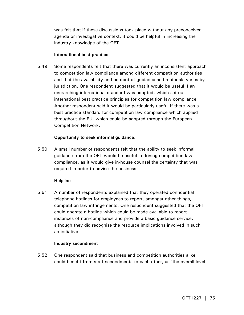was felt that if these discussions took place without any preconceived agenda or investigative context, it could be helpful in increasing the industry knowledge of the OFT.

# **International best practice**

5.49 Some respondents felt that there was currently an inconsistent approach to competition law compliance among different competition authorities and that the availability and content of guidance and materials varies by jurisdiction. One respondent suggested that it would be useful if an overarching international standard was adopted, which set out international best practice principles for competition law compliance. Another respondent said it would be particularly useful if there was a best practice standard for competition law compliance which applied throughout the EU, which could be adopted through the European Competition Network.

# **Opportunity to seek informal guidance**.

5.50 A small number of respondents felt that the ability to seek informal guidance from the OFT would be useful in driving competition law compliance, as it would give in-house counsel the certainty that was required in order to advise the business.

### **Helpline**

5.51 A number of respondents explained that they operated confidential telephone hotlines for employees to report, amongst other things, competition law infringements. One respondent suggested that the OFT could operate a hotline which could be made available to report instances of non-compliance and provide a basic guidance service, although they did recognise the resource implications involved in such an initiative.

### **Industry secondment**

5.52 One respondent said that business and competition authorities alike could benefit from staff secondments to each other, as 'the overall level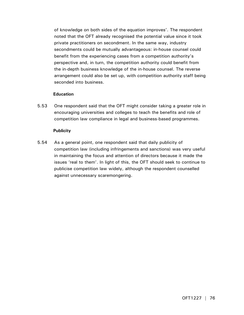of knowledge on both sides of the equation improves'. The respondent noted that the OFT already recognised the potential value since it took private practitioners on secondment. In the same way, industry secondments could be mutually advantageous: in-house counsel could benefit from the experiencing cases from a competition authority's perspective and, in turn, the competition authority could benefit from the in-depth business knowledge of the in-house counsel. The reverse arrangement could also be set up, with competition authority staff being seconded into business.

# **Education**

5.53 One respondent said that the OFT might consider taking a greater role in encouraging universities and colleges to teach the benefits and role of competition law compliance in legal and business-based programmes.

# **Publicity**

5.54 As a general point, one respondent said that daily publicity of competition law (including infringements and sanctions) was very useful in maintaining the focus and attention of directors because it made the issues 'real to them'. In light of this, the OFT should seek to continue to publicise competition law widely, although the respondent counselled against unnecessary scaremongering.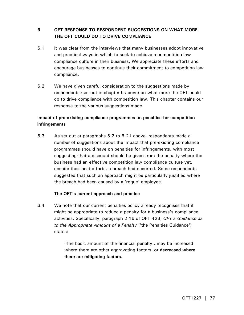# **6 OFT RESPONSE TO RESPONDENT SUGGESTIONS ON WHAT MORE THE OFT COULD DO TO DRIVE COMPLIANCE**

- 6.1 It was clear from the interviews that many businesses adopt innovative and practical ways in which to seek to achieve a competition law compliance culture in their business. We appreciate these efforts and encourage businesses to continue their commitment to competition law compliance.
- 6.2 We have given careful consideration to the suggestions made by respondents (set out in chapter 5 above) on what more the OFT could do to drive compliance with competition law. This chapter contains our response to the various suggestions made.

# **Impact of pre-existing compliance programmes on penalties for competition infringements**

6.3 As set out at paragraphs 5.2 to 5.21 above, respondents made a number of suggestions about the impact that pre-existing compliance programmes should have on penalties for infringements, with most suggesting that a discount should be given from the penalty where the business had an effective competition law compliance culture yet, despite their best efforts, a breach had occurred. Some respondents suggested that such an approach might be particularly justified where the breach had been caused by a 'rogue' employee.

# **The OFT's current approach and practice**

6.4 We note that our current penalties policy already recognises that it might be appropriate to reduce a penalty for a business's compliance activities. Specifically, paragraph 2.16 of OFT 423, *OFT's Guidance as to the Appropriate Amount of a Penalty* ('the Penalties Guidance') states:

> 'The basic amount of the financial penalty…may be increased where there are other aggravating factors, **or decreased where there are mitigating factors**.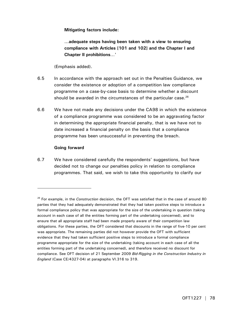**Mitigating factors include:** 

**…adequate steps having been taken with a view to ensuring compliance with Articles [101 and 102] and the Chapter I and Chapter II prohibitions**…'

(Emphasis added).

- 6.5 In accordance with the approach set out in the Penalties Guidance, we consider the existence or adoption of a competition law compliance programme on a case-by-case basis to determine whether a discount should be awarded in the circumstances of the particular case. $^{26}$
- 6.6 We have not made any decisions under the CA98 in which the existence of a compliance programme was considered to be an aggravating factor in determining the appropriate financial penalty, that is we have not to date increased a financial penalty on the basis that a compliance programme has been unsuccessful in preventing the breach.

# **Going forward**

-

6.7 We have considered carefully the respondents' suggestions, but have decided not to change our penalties policy in relation to compliance programmes. That said, we wish to take this opportunity to clarify our

<sup>26</sup> For example, in the *Construction* decision, the OFT was satisfied that in the case of around 80 parties that they had adequately demonstrated that they had taken positive steps to introduce a formal compliance policy that was appropriate for the size of the undertaking in question (taking account in each case of all the entities forming part of the undertaking concerned), and to ensure that all appropriate staff had been made properly aware of their competition law obligations. For these parties, the OFT considered that discounts in the range of five-10 per cent was appropriate. The remaining parties did not however provide the OFT with sufficient evidence that they had taken sufficient positive steps to introduce a formal compliance programme appropriate for the size of the undertaking (taking account in each case of all the entities forming part of the undertaking concerned), and therefore received no discount for compliance. See OFT decision of 21 September 2009 *Bid-Rigging in the Construction Industry in England* (Case CE/4327-04) at paragraphs VI.316 to 319.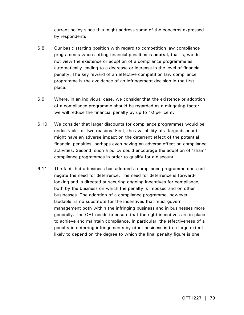current policy since this might address some of the concerns expressed by respondents.

- 6.8 Our basic starting position with regard to competition law compliance programmes when setting financial penalties is **neutral**, that is, we do not view the existence or adoption of a compliance programme as automatically leading to a decrease or increase in the level of financial penalty. The key reward of an effective competition law compliance programme is the avoidance of an infringement decision in the first place.
- 6.9 Where, in an individual case, we consider that the existence or adoption of a compliance programme should be regarded as a mitigating factor, we will reduce the financial penalty by up to 10 per cent.
- 6.10 We consider that larger discounts for compliance programmes would be undesirable for two reasons. First, the availability of a large discount might have an adverse impact on the deterrent effect of the potential financial penalties, perhaps even having an adverse effect on compliance activities. Second, such a policy could encourage the adoption of 'sham' compliance programmes in order to qualify for a discount.
- 6.11 The fact that a business has adopted a compliance programme does not negate the need for deterrence. The need for deterrence is forwardlooking and is directed at securing ongoing incentives for compliance, both by the business on which the penalty is imposed and on other businesses. The adoption of a compliance programme, however laudable, is no substitute for the incentives that must govern management both within the infringing business and in businesses more generally. The OFT needs to ensure that the right incentives are in place to achieve and maintain compliance. In particular, the effectiveness of a penalty in deterring infringements by other business is to a large extent likely to depend on the degree to which the final penalty figure is one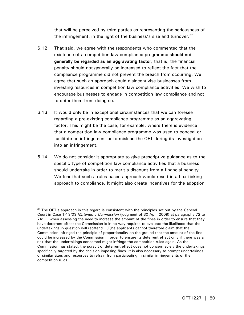that will be perceived by third parties as representing the seriousness of the infringement, in the light of the business's size and turnover. $27$ 

- 6.12 That said, we agree with the respondents who commented that the existence of a competition law compliance programme **should not generally be regarded as an aggravating factor**, that is, the financial penalty should not generally be increased to reflect the fact that the compliance programme did not prevent the breach from occurring. We agree that such an approach could disincentivise businesses from investing resources in competition law compliance activities. We wish to encourage businesses to engage in competition law compliance and not to deter them from doing so.
- 6.13 It would only be in exceptional circumstances that we can foresee regarding a pre-existing compliance programme as an aggravating factor. This might be the case, for example, where there is evidence that a competition law compliance programme was used to conceal or facilitate an infringement or to mislead the OFT during its investigation into an infringement.
- 6.14 We do not consider it appropriate to give prescriptive guidance as to the specific type of competition law compliance activities that a business should undertake in order to merit a discount from a financial penalty. We fear that such a rules-based approach would result in a box-ticking approach to compliance. It might also create incentives for the adoption

-

 $27$  The OFT's approach in this regard is consistent with the principles set out by the General Court in Case T-13/03 *Nintendo v Commission* (judgment of 30 April 2009) at paragraphs 72 to 74: '…when assessing the need to increase the amount of the fines in order to ensure that they have deterrent effect the Commission is in no way required to evaluate the likelihood that the undertakings in question will reoffend…[T]he applicants cannot therefore claim that the Commission infringed the principle of proportionality on the ground that the amount of the fine could be increased by the Commission in order to ensure its deterrent effect only if there was a risk that the undertakings concerned might infringe the competition rules again. As the Commission has stated, the pursuit of deterrent effect does not concern solely the undertakings specifically targeted by the decision imposing fines. It is also necessary to prompt undertakings of similar sizes and resources to refrain from participating in similar infringements of the competition rules.'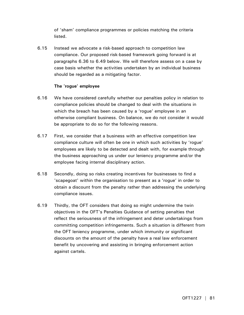of 'sham' compliance programmes or policies matching the criteria listed.

6.15 Instead we advocate a risk-based approach to competition law compliance. Our proposed risk-based framework going forward is at paragraphs 6.36 to 6.49 below. We will therefore assess on a case by case basis whether the activities undertaken by an individual business should be regarded as a mitigating factor.

# **The 'rogue' employee**

- 6.16 We have considered carefully whether our penalties policy in relation to compliance policies should be changed to deal with the situations in which the breach has been caused by a 'rogue' employee in an otherwise compliant business. On balance, we do not consider it would be appropriate to do so for the following reasons.
- 6.17 First, we consider that a business with an effective competition law compliance culture will often be one in which such activities by 'rogue' employees are likely to be detected and dealt with, for example through the business approaching us under our leniency programme and/or the employee facing internal disciplinary action.
- 6.18 Secondly, doing so risks creating incentives for businesses to find a 'scapegoat' within the organisation to present as a 'rogue' in order to obtain a discount from the penalty rather than addressing the underlying compliance issues.
- 6.19 Thirdly, the OFT considers that doing so might undermine the twin objectives in the OFT's Penalties Guidance of setting penalties that reflect the seriousness of the infringement and deter undertakings from committing competition infringements. Such a situation is different from the OFT leniency programme, under which immunity or significant discounts on the amount of the penalty have a real law enforcement benefit by uncovering and assisting in bringing enforcement action against cartels.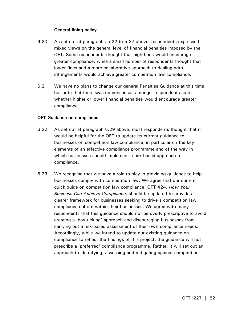# **General fining policy**

- 6.20 As set out at paragraphs 5.22 to 5.27 above, respondents expressed mixed views on the general level of financial penalties imposed by the OFT. Some respondents thought that high fines would encourage greater compliance, while a small number of respondents thought that lower fines and a more collaborative approach to dealing with infringements would achieve greater competition law compliance.
- 6.21 We have no plans to change our general Penalties Guidance at this time, but note that there was no consensus amongst respondents as to whether higher or lower financial penalties would encourage greater compliance.

### **OFT Guidance on compliance**

- 6.22 As set out at paragraph 5.29 above, most respondents thought that it would be helpful for the OFT to update its current guidance to businesses on competition law compliance, in particular on the key elements of an effective compliance programme and of the way in which businesses should implement a risk-based approach to compliance.
- 6.23 We recognise that we have a role to play in providing guidance to help businesses comply with competition law. We agree that our current quick guide on competition law compliance, OFT 424, *How Your Business Can Achieve Compliance*, should be updated to provide a clearer framework for businesses seeking to drive a competition law compliance culture within their businesses. We agree with many respondents that this guidance should not be overly prescriptive to avoid creating a 'box-ticking' approach and discouraging businesses from carrying out a risk-based assessment of their own compliance needs. Accordingly, while we intend to update our existing guidance on compliance to reflect the findings of this project, the guidance will not prescribe a 'preferred' compliance programme. Rather, it will set out an approach to identifying, assessing and mitigating against competition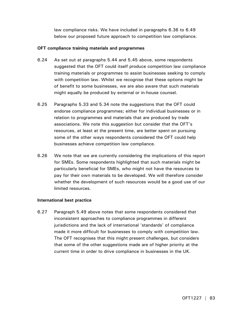law compliance risks. We have included in paragraphs 6.36 to 6.49 below our proposed future approach to competition law compliance.

# **OFT compliance training materials and programmes**

- 6.24 As set out at paragraphs 5.44 and 5.45 above, some respondents suggested that the OFT could itself produce competition law compliance training materials or programmes to assist businesses seeking to comply with competition law. Whilst we recognise that these options might be of benefit to some businesses, we are also aware that such materials might equally be produced by external or in-house counsel.
- 6.25 Paragraphs 5.33 and 5.34 note the suggestions that the OFT could endorse compliance programmes; either for individual businesses or in relation to programmes and materials that are produced by trade associations. We note this suggestion but consider that the OFT's resources, at least at the present time, are better spent on pursuing some of the other ways respondents considered the OFT could help businesses achieve competition law compliance.
- 6.26 We note that we are currently considering the implications of this report for SMEs. Some respondents highlighted that such materials might be particularly beneficial for SMEs, who might not have the resources to pay for their own materials to be developed. We will therefore consider whether the development of such resources would be a good use of our limited resources.

### **International best practice**

6.27 Paragraph 5.49 above notes that some respondents considered that inconsistent approaches to compliance programmes in different jurisdictions and the lack of international 'standards' of compliance made it more difficult for businesses to comply with competition law. The OFT recognises that this might present challenges, but considers that some of the other suggestions made are of higher priority at the current time in order to drive compliance in businesses in the UK.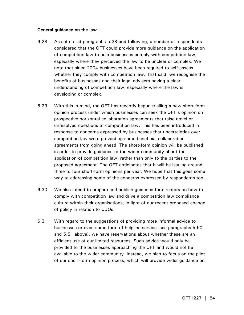### **General guidance on the law**

- 6.28 As set out at paragraphs 5.38 and following, a number of respondents considered that the OFT could provide more guidance on the application of competition law to help businesses comply with competition law, especially where they perceived the law to be unclear or complex. We note that since 2004 businesses have been required to self-assess whether they comply with competition law. That said, we recognise the benefits of businesses and their legal advisers having a clear understanding of competition law, especially where the law is developing or complex.
- 6.29 With this in mind, the OFT has recently begun trialling a new short-form opinion process under which businesses can seek the OFT's opinion on prospective horizontal collaboration agreements that raise novel or unresolved questions of competition law. This has been introduced in response to concerns expressed by businesses that uncertainties over competition law were preventing some beneficial collaboration agreements from going ahead. The short-form opinion will be published in order to provide guidance to the wider community about the application of competition law, rather than only to the parties to the proposed agreement. The OFT anticipates that it will be issuing around three to four short-form opinions per year. We hope that this goes some way to addressing some of the concerns expressed by respondents too.
- 6.30 We also intend to prepare and publish guidance for directors on how to comply with competition law and drive a competition law compliance culture within their organisations, in light of our recent proposed change of policy in relation to CDOs.
- 6.31 With regard to the suggestions of providing more informal advice to businesses or even some form of helpline service (see paragraphs 5.50 and 5.51 above), we have reservations about whether these are an efficient use of our limited resources. Such advice would only be provided to the businesses approaching the OFT and would not be available to the wider community. Instead, we plan to focus on the pilot of our short-form opinion process, which will provide wider guidance on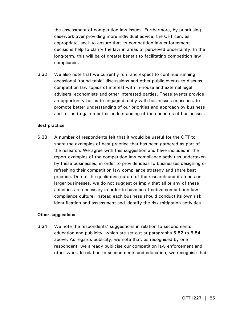the assessment of competition law issues. Furthermore, by prioritising casework over providing more individual advice, the OFT can, as appropriate, seek to ensure that its competition law enforcement decisions help to clarify the law in areas of perceived uncertainty. In the long-term, this will be of greater benefit to facilitating competition law compliance.

6.32 We also note that we currently run, and expect to continue running, occasional 'round-table' discussions and other public events to discuss competition law topics of interest with in-house and external legal advisers, economists and other interested parties. These events provide an opportunity for us to engage directly with businesses on issues, to promote better understanding of our priorities and approach by business and for us to gain a better understanding of the concerns of businesses.

#### **Best practice**

6.33 A number of respondents felt that it would be useful for the OFT to share the examples of best practice that has been gathered as part of the research. We agree with this suggestion and have included in the report examples of the competition law compliance activities undertaken by these businesses, in order to provide ideas to businesses designing or refreshing their competition law compliance strategy and share best practice. Due to the qualitative nature of the research and its focus on larger businesses, we do not suggest or imply that all or any of these activities are necessary in order to have an effective competition law compliance culture. Instead each business should conduct its own risk identification and assessment and identify the risk mitigation activities.

#### **Other suggestions**

6.34 We note the respondents' suggestions in relation to secondments, education and publicity, which are set out at paragraphs 5.52 to 5.54 above. As regards publicity, we note that, as recognised by one respondent, we already publicise our competition law enforcement and other work. In relation to secondments and education, we recognise that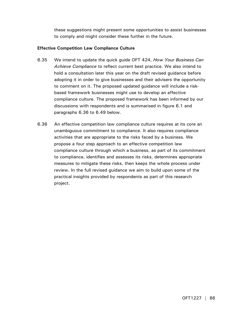these suggestions might present some opportunities to assist businesses to comply and might consider these further in the future.

# **Effective Competition Law Compliance Culture**

- 6.35 We intend to update the quick guide OFT 424, *How Your Business Can Achieve Compliance* to reflect current best practice. We also intend to hold a consultation later this year on the draft revised guidance before adopting it in order to give businesses and their advisers the opportunity to comment on it. The proposed updated guidance will include a riskbased framework businesses might use to develop an effective compliance culture. The proposed framework has been informed by our discussions with respondents and is summarised in figure 6.1 and paragraphs 6.36 to 6.49 below.
- 6.36 An effective competition law compliance culture requires at its core an unambiguous commitment to compliance. It also requires compliance activities that are appropriate to the risks faced by a business. We propose a four step approach to an effective competition law compliance culture through which a business, as part of its commitment to compliance, identifies and assesses its risks, determines appropriate measures to mitigate these risks, then keeps the whole process under review. In the full revised guidance we aim to build upon some of the practical insights provided by respondents as part of this research project.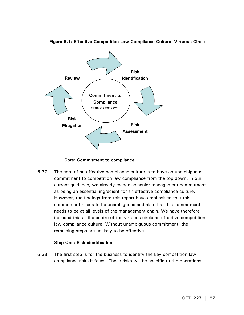

**Figure 6.1: Effective Competition Law Compliance Culture: Virtuous Circle** 

 **Core: Commitment to compliance**

6.37 The core of an effective compliance culture is to have an unambiguous commitment to competition law compliance from the top down. In our current guidance, we already recognise senior management commitment as being an essential ingredient for an effective compliance culture. However, the findings from this report have emphasised that this commitment needs to be unambiguous and also that this commitment needs to be at all levels of the management chain. We have therefore included this at the centre of the virtuous circle an effective competition law compliance culture. Without unambiguous commitment, the remaining steps are unlikely to be effective.

# **Step One: Risk identification**

6.38 The first step is for the business to identify the key competition law compliance risks it faces. These risks will be specific to the operations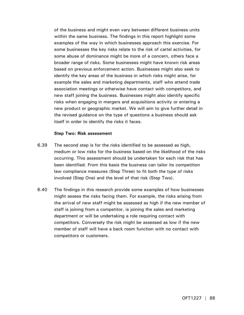of the business and might even vary between different business units within the same business. The findings in this report highlight some examples of the way in which businesses approach this exercise. For some businesses the key risks relate to the risk of cartel activities, for some abuse of dominance might be more of a concern, others face a broader range of risks. Some businesses might have known risk areas based on previous enforcement action. Businesses might also seek to identify the key areas of the business in which risks might arise, for example the sales and marketing departments, staff who attend trade association meetings or otherwise have contact with competitors, and new staff joining the business. Businesses might also identify specific risks when engaging in mergers and acquisitions activity or entering a new product or geographic market. We will aim to give further detail in the revised guidance on the type of questions a business should ask itself in order to identify the risks it faces.

### **Step Two: Risk assessment**

- 6.39 The second step is for the risks identified to be assessed as high, medium or low risks for the business based on the likelihood of the risks occurring. This assessment should be undertaken for each risk that has been identified. From this basis the business can tailor its competition law compliance measures (Step Three) to fit both the type of risks involved (Step One) and the level of that risk (Step Two).
- 6.40 The findings in this research provide some examples of how businesses might assess the risks facing them. For example, the risks arising from the arrival of new staff might be assessed as high if the new member of staff is joining from a competitor, is joining the sales and marketing department or will be undertaking a role requiring contact with competitors. Conversely the risk might be assessed as low if the new member of staff will have a back room function with no contact with competitors or customers.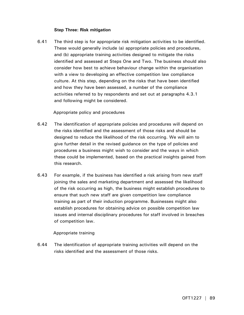# **Step Three: Risk mitigation**

6.41 The third step is for appropriate risk mitigation activities to be identified. These would generally include (a) appropriate policies and procedures, and (b) appropriate training activities designed to mitigate the risks identified and assessed at Steps One and Two. The business should also consider how best to achieve behaviour change within the organisation with a view to developing an effective competition law compliance culture. At this step, depending on the risks that have been identified and how they have been assessed, a number of the compliance activities referred to by respondents and set out at paragraphs 4.3.1 and following might be considered.

Appropriate policy and procedures

- 6.42 The identification of appropriate policies and procedures will depend on the risks identified and the assessment of those risks and should be designed to reduce the likelihood of the risk occurring. We will aim to give further detail in the revised guidance on the type of policies and procedures a business might wish to consider and the ways in which these could be implemented, based on the practical insights gained from this research.
- 6.43 For example, if the business has identified a risk arising from new staff joining the sales and marketing department and assessed the likelihood of the risk occurring as high, the business might establish procedures to ensure that such new staff are given competition law compliance training as part of their induction programme. Businesses might also establish procedures for obtaining advice on possible competition law issues and internal disciplinary procedures for staff involved in breaches of competition law.

# Appropriate training

6.44 The identification of appropriate training activities will depend on the risks identified and the assessment of those risks.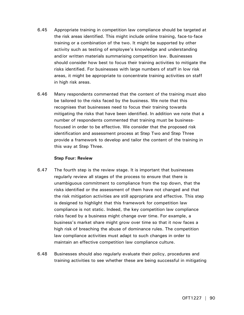- 6.45 Appropriate training in competition law compliance should be targeted at the risk areas identified. This might include online training, face-to-face training or a combination of the two. It might be supported by other activity such as testing of employee's knowledge and understanding and/or written materials summarising competition law. Businesses should consider how best to focus their training activities to mitigate the risks identified. For businesses with large numbers of staff in low risk areas, it might be appropriate to concentrate training activities on staff in high risk areas.
- 6.46 Many respondents commented that the content of the training must also be tailored to the risks faced by the business. We note that this recognises that businesses need to focus their training towards mitigating the risks that have been identified. In addition we note that a number of respondents commented that training must be businessfocused in order to be effective. We consider that the proposed risk identification and assessment process at Step Two and Step Three provide a framework to develop and tailor the content of the training in this way at Step Three.

### **Step Four: Review**

- 6.47 The fourth step is the review stage. It is important that businesses regularly review all stages of the process to ensure that there is unambiguous commitment to compliance from the top down, that the risks identified or the assessment of them have not changed and that the risk mitigation activities are still appropriate and effective. This step is designed to highlight that this framework for competition law compliance is not static. Indeed, the key competition law compliance risks faced by a business might change over time. For example, a business's market share might grow over time so that it now faces a high risk of breaching the abuse of dominance rules. The competition law compliance activities must adapt to such changes in order to maintain an effective competition law compliance culture.
- 6.48 Businesses should also regularly evaluate their policy, procedures and training activities to see whether these are being successful in mitigating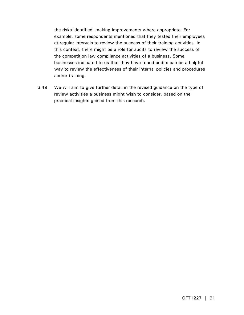the risks identified, making improvements where appropriate. For example, some respondents mentioned that they tested their employees at regular intervals to review the success of their training activities. In this context, there might be a role for audits to review the success of the competition law compliance activities of a business. Some businesses indicated to us that they have found audits can be a helpful way to review the effectiveness of their internal policies and procedures and/or training.

6.49 We will aim to give further detail in the revised guidance on the type of review activities a business might wish to consider, based on the practical insights gained from this research.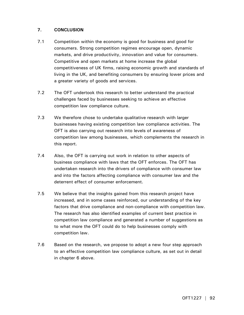# **7. CONCLUSION**

- 7.1 Competition within the economy is good for business and good for consumers. Strong competition regimes encourage open, dynamic markets, and drive productivity, innovation and value for consumers. Competitive and open markets at home increase the global competitiveness of UK firms, raising economic growth and standards of living in the UK, and benefiting consumers by ensuring lower prices and a greater variety of goods and services.
- 7.2 The OFT undertook this research to better understand the practical challenges faced by businesses seeking to achieve an effective competition law compliance culture.
- 7.3 We therefore chose to undertake qualitative research with larger businesses having existing competition law compliance activities. The OFT is also carrying out research into levels of awareness of competition law among businesses, which complements the research in this report.
- 7.4 Also, the OFT is carrying out work in relation to other aspects of business compliance with laws that the OFT enforces. The OFT has undertaken research into the drivers of compliance with consumer law and into the factors affecting compliance with consumer law and the deterrent effect of consumer enforcement.
- 7.5 We believe that the insights gained from this research project have increased, and in some cases reinforced, our understanding of the key factors that drive compliance and non-compliance with competition law. The research has also identified examples of current best practice in competition law compliance and generated a number of suggestions as to what more the OFT could do to help businesses comply with competition law.
- 7.6 Based on the research, we propose to adopt a new four step approach to an effective competition law compliance culture, as set out in detail in chapter 6 above.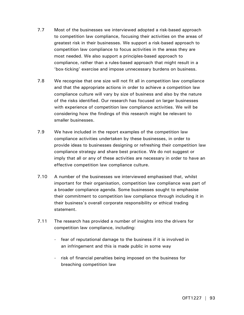- 7.7 Most of the businesses we interviewed adopted a risk-based approach to competition law compliance, focusing their activities on the areas of greatest risk in their businesses. We support a risk-based approach to competition law compliance to focus activities in the areas they are most needed. We also support a principles-based approach to compliance, rather than a rules-based approach that might result in a 'box-ticking' exercise and impose unnecessary burdens on business.
- 7.8 We recognise that one size will not fit all in competition law compliance and that the appropriate actions in order to achieve a competition law compliance culture will vary by size of business and also by the nature of the risks identified. Our research has focused on larger businesses with experience of competition law compliance activities. We will be considering how the findings of this research might be relevant to smaller businesses.
- 7.9 We have included in the report examples of the competition law compliance activities undertaken by these businesses, in order to provide ideas to businesses designing or refreshing their competition law compliance strategy and share best practice. We do not suggest or imply that all or any of these activities are necessary in order to have an effective competition law compliance culture.
- 7.10 A number of the businesses we interviewed emphasised that, whilst important for their organisation, competition law compliance was part of a broader compliance agenda. Some businesses sought to emphasise their commitment to competition law compliance through including it in their business's overall corporate responsibility or ethical trading statement.
- 7.11 The research has provided a number of insights into the drivers for competition law compliance, including:
	- fear of reputational damage to the business if it is involved in an infringement and this is made public in some way
	- risk of financial penalties being imposed on the business for breaching competition law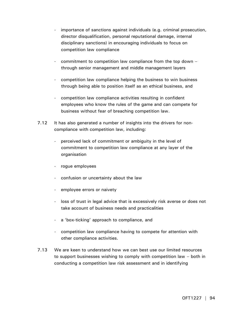- importance of sanctions against individuals (e.g. criminal prosecution, director disqualification, personal reputational damage, internal disciplinary sanctions) in encouraging individuals to focus on competition law compliance
- commitment to competition law compliance from the top down through senior management and middle management layers
- competition law compliance helping the business to win business through being able to position itself as an ethical business, and
- competition law compliance activities resulting in confident employees who know the rules of the game and can compete for business without fear of breaching competition law.
- 7.12 It has also generated a number of insights into the drivers for noncompliance with competition law, including:
	- perceived lack of commitment or ambiguity in the level of commitment to competition law compliance at any layer of the organisation
	- rogue employees
	- confusion or uncertainty about the law
	- employee errors or naivety
	- loss of trust in legal advice that is excessively risk averse or does not take account of business needs and practicalities
	- a 'box-ticking' approach to compliance, and
	- competition law compliance having to compete for attention with other compliance activities.
- 7.13 We are keen to understand how we can best use our limited resources to support businesses wishing to comply with competition law – both in conducting a competition law risk assessment and in identifying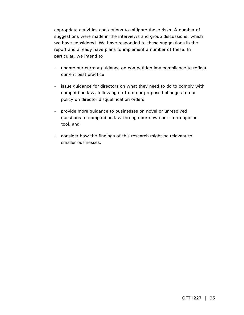appropriate activities and actions to mitigate those risks. A number of suggestions were made in the interviews and group discussions, which we have considered. We have responded to these suggestions in the report and already have plans to implement a number of these. In particular, we intend to

- update our current guidance on competition law compliance to reflect current best practice
- issue guidance for directors on what they need to do to comply with competition law, following on from our proposed changes to our policy on director disqualification orders
- provide more guidance to businesses on novel or unresolved questions of competition law through our new short-form opinion tool, and
- consider how the findings of this research might be relevant to smaller businesses.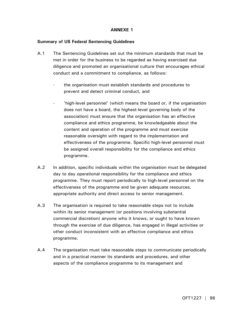# **ANNEXE 1**

### **Summary of US Federal Sentencing Guidelines**

- A.1 The Sentencing Guidelines set out the minimum standards that must be met in order for the business to be regarded as having exercised due diligence and promoted an organisational culture that encourages ethical conduct and a commitment to compliance, as follows:
	- the organisation must establish standards and procedures to prevent and detect criminal conduct, and
	- 'high-level personnel' (which means the board or, if the organisation does not have a board, the highest-level governing body of the association) must ensure that the organisation has an effective compliance and ethics programme, be knowledgeable about the content and operation of the programme and must exercise reasonable oversight with regard to the implementation and effectiveness of the programme. Specific high-level personnel must be assigned overall responsibility for the compliance and ethics programme.
- A.2 In addition, specific individuals within the organisation must be delegated day to day operational responsibility for the compliance and ethics programme. They must report periodically to high-level personnel on the effectiveness of the programme and be given adequate resources, appropriate authority and direct access to senior management.
- A.3 The organisation is required to take reasonable steps not to include within its senior management (or positions involving substantial commercial discretion) anyone who it knows, or ought to have known through the exercise of due diligence, has engaged in illegal activities or other conduct inconsistent with an effective compliance and ethics programme.
- A.4 The organisation must take reasonable steps to communicate periodically and in a practical manner its standards and procedures, and other aspects of the compliance programme to its management and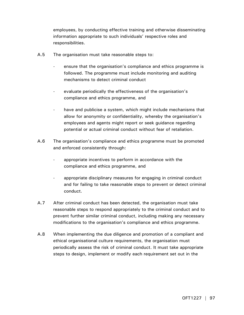employees, by conducting effective training and otherwise disseminating information appropriate to such individuals' respective roles and responsibilities.

- A.5 The organisation must take reasonable steps to:
	- ensure that the organisation's compliance and ethics programme is followed. The programme must include monitoring and auditing mechanisms to detect criminal conduct
	- evaluate periodically the effectiveness of the organisation's compliance and ethics programme, and
	- have and publicise a system, which might include mechanisms that allow for anonymity or confidentiality, whereby the organisation's employees and agents might report or seek guidance regarding potential or actual criminal conduct without fear of retaliation.
- A.6 The organisation's compliance and ethics programme must be promoted and enforced consistently through:
	- appropriate incentives to perform in accordance with the compliance and ethics programme, and
	- appropriate disciplinary measures for engaging in criminal conduct and for failing to take reasonable steps to prevent or detect criminal conduct.
- A.7 After criminal conduct has been detected, the organisation must take reasonable steps to respond appropriately to the criminal conduct and to prevent further similar criminal conduct, including making any necessary modifications to the organisation's compliance and ethics programme.
- A.8 When implementing the due diligence and promotion of a compliant and ethical organisational culture requirements, the organisation must periodically assess the risk of criminal conduct. It must take appropriate steps to design, implement or modify each requirement set out in the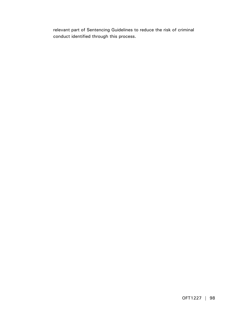relevant part of Sentencing Guidelines to reduce the risk of criminal conduct identified through this process.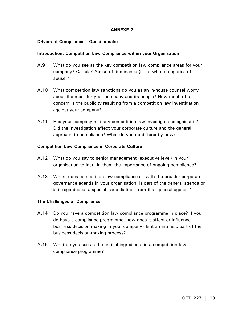# **ANNEXE 2**

# **Drivers of Compliance – Questionnaire**

### **Introduction: Competition Law Compliance within your Organisation**

- A.9 What do you see as the key competition law compliance areas for your company? Cartels? Abuse of dominance (if so, what categories of abuse)?
- A.10 What competition law sanctions do you as an in-house counsel worry about the most for your company and its people? How much of a concern is the publicity resulting from a competition law investigation against your company?
- A.11 Has your company had any competition law investigations against it? Did the investigation affect your corporate culture and the general approach to compliance? What do you do differently now?

### **Competition Law Compliance in Corporate Culture**

- A.12 What do you say to senior management (executive level) in your organisation to instil in them the importance of ongoing compliance?
- A.13 Where does competition law compliance sit with the broader corporate governance agenda in your organisation: is part of the general agenda or is it regarded as a special issue distinct from that general agenda?

### **The Challenges of Compliance**

- A.14 Do you have a competition law compliance programme in place? If you do have a compliance programme, how does it affect or influence business decision making in your company? Is it an intrinsic part of the business decision-making process?
- A.15 What do you see as the critical ingredients in a competition law compliance programme?